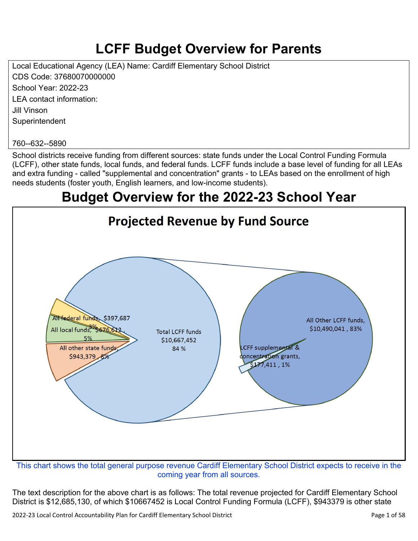# **LCFF Budget Overview for Parents**

Local Educational Agency (LEA) Name: Cardiff Elementary School District CDS Code: 37680070000000 School Year: 2022-23 LEA contact information: Jill Vinson **Superintendent** 

#### 760--632--5890

School districts receive funding from different sources: state funds under the Local Control Funding Formula (LCFF), other state funds, local funds, and federal funds. LCFF funds include a base level of funding for all LEAs and extra funding - called "supplemental and concentration" grants - to LEAs based on the enrollment of high needs students (foster youth, English learners, and low-income students).

## **Budget Overview for the 2022-23 School Year**



coming year from all sources.

The text description for the above chart is as follows: The total revenue projected for Cardiff Elementary School District is \$12,685,130, of which \$10667452 is Local Control Funding Formula (LCFF), \$943379 is other state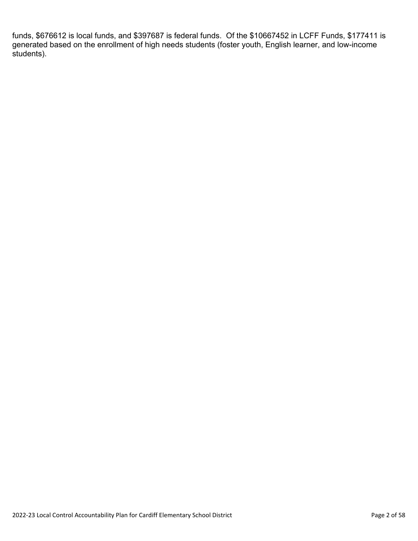funds, \$676612 is local funds, and \$397687 is federal funds. Of the \$10667452 in LCFF Funds, \$177411 is generated based on the enrollment of high needs students (foster youth, English learner, and low-income students).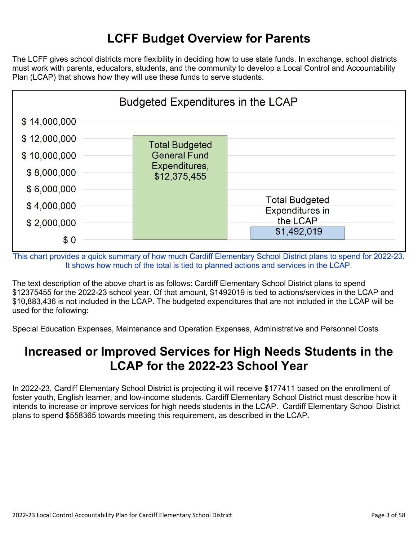# **LCFF Budget Overview for Parents**

The LCFF gives school districts more flexibility in deciding how to use state funds. In exchange, school districts must work with parents, educators, students, and the community to develop a Local Control and Accountability Plan (LCAP) that shows how they will use these funds to serve students.



This chart provides a quick summary of how much Cardiff Elementary School District plans to spend for 2022-23. It shows how much of the total is tied to planned actions and services in the LCAP.

The text description of the above chart is as follows: Cardiff Elementary School District plans to spend \$12375455 for the 2022-23 school year. Of that amount, \$1492019 is tied to actions/services in the LCAP and \$10,883,436 is not included in the LCAP. The budgeted expenditures that are not included in the LCAP will be used for the following:

Special Education Expenses, Maintenance and Operation Expenses, Administrative and Personnel Costs

## **Increased or Improved Services for High Needs Students in the LCAP for the 2022-23 School Year**

In 2022-23, Cardiff Elementary School District is projecting it will receive \$177411 based on the enrollment of foster youth, English learner, and low-income students. Cardiff Elementary School District must describe how it intends to increase or improve services for high needs students in the LCAP. Cardiff Elementary School District plans to spend \$558365 towards meeting this requirement, as described in the LCAP.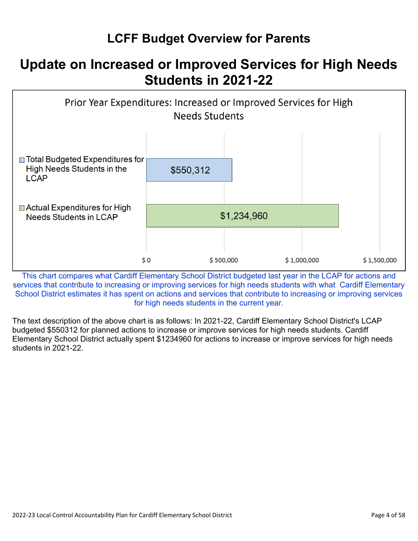# **LCFF Budget Overview for Parents**

# **Update on Increased or Improved Services for High Needs Students in 2021-22**



This chart compares what Cardiff Elementary School District budgeted last year in the LCAP for actions and services that contribute to increasing or improving services for high needs students with what Cardiff Elementary School District estimates it has spent on actions and services that contribute to increasing or improving services for high needs students in the current year.

The text description of the above chart is as follows: In 2021-22, Cardiff Elementary School District's LCAP budgeted \$550312 for planned actions to increase or improve services for high needs students. Cardiff Elementary School District actually spent \$1234960 for actions to increase or improve services for high needs students in 2021-22.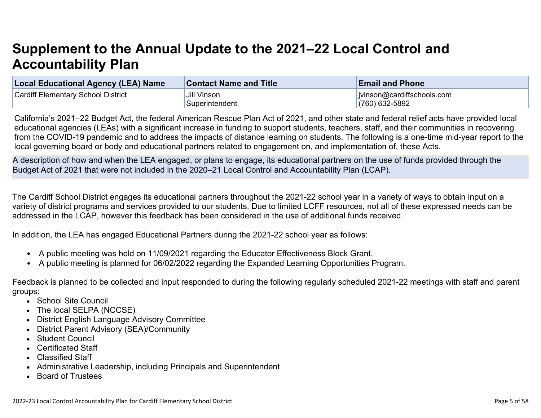# **Supplement to the Annual Update to the 2021–22 Local Control and Accountability Plan**

| Local Educational Agency (LEA) Name       | <b>Contact Name and Title</b> | <b>Email and Phone</b>     |
|-------------------------------------------|-------------------------------|----------------------------|
| <b>Cardiff Elementary School District</b> | Jill Vinson                   | jvinson@cardiffschools.com |
|                                           | Superintendent                | $(760)$ 632-5892           |

California's 2021–22 Budget Act, the federal American Rescue Plan Act of 2021, and other state and federal relief acts have provided local educational agencies (LEAs) with a significant increase in funding to support students, teachers, staff, and their communities in recovering from the COVID-19 pandemic and to address the impacts of distance learning on students. The following is a one-time mid-year report to the local governing board or body and educational partners related to engagement on, and implementation of, these Acts.

A description of how and when the LEA engaged, or plans to engage, its educational partners on the use of funds provided through the Budget Act of 2021 that were not included in the 2020–21 Local Control and Accountability Plan (LCAP).

The Cardiff School District engages its educational partners throughout the 2021-22 school year in a variety of ways to obtain input on a variety of district programs and services provided to our students. Due to limited LCFF resources, not all of these expressed needs can be addressed in the LCAP, however this feedback has been considered in the use of additional funds received.

In addition, the LEA has engaged Educational Partners during the 2021-22 school year as follows:

- A public meeting was held on 11/09/2021 regarding the Educator Effectiveness Block Grant.
- A public meeting is planned for 06/02/2022 regarding the Expanded Learning Opportunities Program.

Feedback is planned to be collected and input responded to during the following regularly scheduled 2021-22 meetings with staff and parent groups:

- School Site Council
- The local SELPA (NCCSE)
- District English Language Advisory Committee
- District Parent Advisory (SEA)/Community
- Student Council
- Certificated Staff
- Classified Staff
- Administrative Leadership, including Principals and Superintendent
- Board of Trustees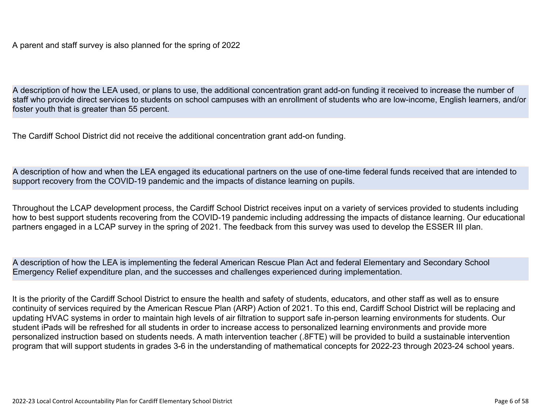A parent and staff survey is also planned for the spring of 2022

A description of how the LEA used, or plans to use, the additional concentration grant add-on funding it received to increase the number of staff who provide direct services to students on school campuses with an enrollment of students who are low-income, English learners, and/or foster youth that is greater than 55 percent.

The Cardiff School District did not receive the additional concentration grant add-on funding.

A description of how and when the LEA engaged its educational partners on the use of one-time federal funds received that are intended to support recovery from the COVID-19 pandemic and the impacts of distance learning on pupils.

Throughout the LCAP development process, the Cardiff School District receives input on a variety of services provided to students including how to best support students recovering from the COVID-19 pandemic including addressing the impacts of distance learning. Our educational partners engaged in a LCAP survey in the spring of 2021. The feedback from this survey was used to develop the ESSER III plan.

A description of how the LEA is implementing the federal American Rescue Plan Act and federal Elementary and Secondary School Emergency Relief expenditure plan, and the successes and challenges experienced during implementation.

It is the priority of the Cardiff School District to ensure the health and safety of students, educators, and other staff as well as to ensure continuity of services required by the American Rescue Plan (ARP) Action of 2021. To this end, Cardiff School District will be replacing and updating HVAC systems in order to maintain high levels of air filtration to support safe in-person learning environments for students. Our student iPads will be refreshed for all students in order to increase access to personalized learning environments and provide more personalized instruction based on students needs. A math intervention teacher (.8FTE) will be provided to build a sustainable intervention program that will support students in grades 3-6 in the understanding of mathematical concepts for 2022-23 through 2023-24 school years.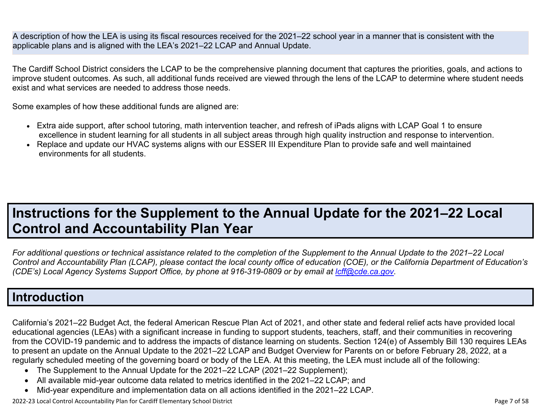A description of how the LEA is using its fiscal resources received for the 2021–22 school year in a manner that is consistent with the applicable plans and is aligned with the LEA's 2021–22 LCAP and Annual Update.

The Cardiff School District considers the LCAP to be the comprehensive planning document that captures the priorities, goals, and actions to improve student outcomes. As such, all additional funds received are viewed through the lens of the LCAP to determine where student needs exist and what services are needed to address those needs.

Some examples of how these additional funds are aligned are:

- Extra aide support, after school tutoring, math intervention teacher, and refresh of iPads aligns with LCAP Goal 1 to ensure excellence in student learning for all students in all subject areas through high quality instruction and response to intervention.
- Replace and update our HVAC systems aligns with our ESSER III Expenditure Plan to provide safe and well maintained environments for all students.

# **Instructions for the Supplement to the Annual Update for the 2021–22 Local Control and Accountability Plan Year**

*For additional questions or technical assistance related to the completion of the Supplement to the Annual Update to the 2021–22 Local Control and Accountability Plan (LCAP), please contact the local county office of education (COE), or the California Department of Education's (CDE's)* Local Agency Systems Support Office, by phone at 916-319-0809 or by email at *[lcff@cde.ca.gov](mailto:lcff@cde.ca.gov)*.

## **Introduction**

California's 2021–22 Budget Act, the federal American Rescue Plan Act of 2021, and other state and federal relief acts have provided local educational agencies (LEAs) with a significant increase in funding to support students, teachers, staff, and their communities in recovering from the COVID-19 pandemic and to address the impacts of distance learning on students. Section 124(e) of Assembly Bill 130 requires LEAs to present an update on the Annual Update to the 2021–22 LCAP and Budget Overview for Parents on or before February 28, 2022, at a regularly scheduled meeting of the governing board or body of the LEA. At this meeting, the LEA must include all of the following:

- The Supplement to the Annual Update for the 2021–22 LCAP (2021–22 Supplement);
- All available mid-year outcome data related to metrics identified in the 2021–22 LCAP; and
- Mid-year expenditure and implementation data on all actions identified in the 2021–22 LCAP.

2022-23 Local Control Accountability Plan for Cardiff Elementary School District Page 7 of 58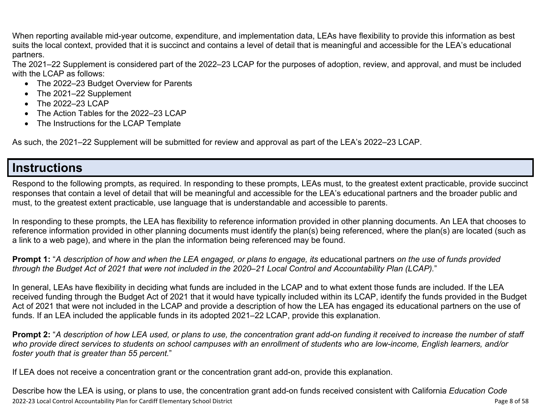When reporting available mid-year outcome, expenditure, and implementation data, LEAs have flexibility to provide this information as best suits the local context, provided that it is succinct and contains a level of detail that is meaningful and accessible for the LEA's educational partners.

The 2021–22 Supplement is considered part of the 2022–23 LCAP for the purposes of adoption, review, and approval, and must be included with the LCAP as follows:

- The 2022–23 Budget Overview for Parents
- The 2021–22 Supplement
- The 2022-23 LCAP
- The Action Tables for the 2022–23 LCAP
- The Instructions for the LCAP Template

As such, the 2021–22 Supplement will be submitted for review and approval as part of the LEA's 2022–23 LCAP.

## **Instructions**

Respond to the following prompts, as required. In responding to these prompts, LEAs must, to the greatest extent practicable, provide succinct responses that contain a level of detail that will be meaningful and accessible for the LEA's educational partners and the broader public and must, to the greatest extent practicable, use language that is understandable and accessible to parents.

In responding to these prompts, the LEA has flexibility to reference information provided in other planning documents. An LEA that chooses to reference information provided in other planning documents must identify the plan(s) being referenced, where the plan(s) are located (such as a link to a web page), and where in the plan the information being referenced may be found.

**Prompt 1:** "*A description of how and when the LEA engaged, or plans to engage, its* educational partners *on the use of funds provided through the Budget Act of 2021 that were not included in the 2020–21 Local Control and Accountability Plan (LCAP).*"

In general, LEAs have flexibility in deciding what funds are included in the LCAP and to what extent those funds are included. If the LEA received funding through the Budget Act of 2021 that it would have typically included within its LCAP, identify the funds provided in the Budget Act of 2021 that were not included in the LCAP and provide a description of how the LEA has engaged its educational partners on the use of funds. If an LEA included the applicable funds in its adopted 2021–22 LCAP, provide this explanation.

**Prompt 2:** "*A description of how LEA used, or plans to use, the concentration grant add-on funding it received to increase the number of staff who provide direct services to students on school campuses with an enrollment of students who are low-income, English learners, and/or foster youth that is greater than 55 percent.*"

If LEA does not receive a concentration grant or the concentration grant add-on, provide this explanation.

2022-23 Local Control Accountability Plan for Cardiff Elementary School District Page 8 of 58 Describe how the LEA is using, or plans to use, the concentration grant add-on funds received consistent with California *Education Code*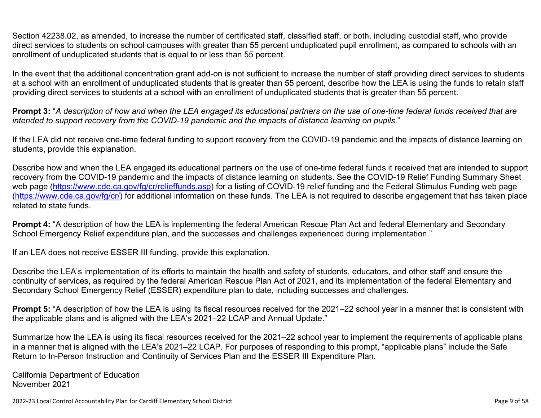Section 42238.02, as amended, to increase the number of certificated staff, classified staff, or both, including custodial staff, who provide direct services to students on school campuses with greater than 55 percent unduplicated pupil enrollment, as compared to schools with an enrollment of unduplicated students that is equal to or less than 55 percent.

In the event that the additional concentration grant add-on is not sufficient to increase the number of staff providing direct services to students at a school with an enrollment of unduplicated students that is greater than 55 percent, describe how the LEA is using the funds to retain staff providing direct services to students at a school with an enrollment of unduplicated students that is greater than 55 percent.

**Prompt 3:** "*A description of how and when the LEA engaged its educational partners on the use of one-time federal funds received that are intended to support recovery from the COVID-19 pandemic and the impacts of distance learning on pupils.*"

If the LEA did not receive one-time federal funding to support recovery from the COVID-19 pandemic and the impacts of distance learning on students, provide this explanation.

Describe how and when the LEA engaged its educational partners on the use of one-time federal funds it received that are intended to support recovery from the COVID-19 pandemic and the impacts of distance learning on students. See the COVID-19 Relief Funding Summary Sheet web page [\(https://www.cde.ca.gov/fg/cr/relieffunds.asp\)](https://www.cde.ca.gov/fg/cr/relieffunds.asp) for a listing of COVID-19 relief funding and the Federal Stimulus Funding web page (<https://www.cde.ca.gov/fg/cr/>) for additional information on these funds. The LEA is not required to describe engagement that has taken place related to state funds.

**Prompt 4:** "A description of how the LEA is implementing the federal American Rescue Plan Act and federal Elementary and Secondary School Emergency Relief expenditure plan, and the successes and challenges experienced during implementation."

If an LEA does not receive ESSER III funding, provide this explanation.

Describe the LEA's implementation of its efforts to maintain the health and safety of students, educators, and other staff and ensure the continuity of services, as required by the federal American Rescue Plan Act of 2021, and its implementation of the federal Elementary and Secondary School Emergency Relief (ESSER) expenditure plan to date, including successes and challenges.

**Prompt 5:** "A description of how the LEA is using its fiscal resources received for the 2021–22 school year in a manner that is consistent with the applicable plans and is aligned with the LEA's 2021–22 LCAP and Annual Update."

Summarize how the LEA is using its fiscal resources received for the 2021–22 school year to implement the requirements of applicable plans in a manner that is aligned with the LEA's 2021–22 LCAP. For purposes of responding to this prompt, "applicable plans" include the Safe Return to In-Person Instruction and Continuity of Services Plan and the ESSER III Expenditure Plan.

California Department of Education November 2021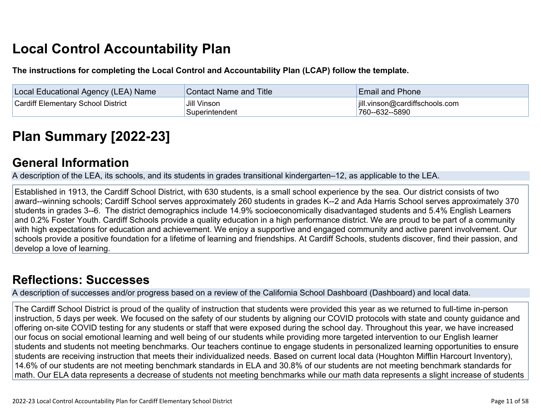# **Local Control Accountability Plan**

**The instructions for completing the Local Control and Accountability Plan (LCAP) follow the template.**

| Local Educational Agency (LEA) Name       | <b>Contact Name and Title</b> | <b>Email and Phone</b>         |
|-------------------------------------------|-------------------------------|--------------------------------|
| <b>Cardiff Elementary School District</b> | Jill Vinson                   | jill.vinson@cardiffschools.com |
|                                           | Superintendent                | 760--632--5890                 |

# **[Plan Summary \[2022-23\]](http://www.doc-tracking.com/screenshots/22LCAP/Instructions/22LCAPInstructions.htm#PlanSummary)**

## **[General Information](http://www.doc-tracking.com/screenshots/22LCAP/Instructions/22LCAPInstructions.htm#generalinformation)**

A description of the LEA, its schools, and its students in grades transitional kindergarten–12, as applicable to the LEA.

Established in 1913, the Cardiff School District, with 630 students, is a small school experience by the sea. Our district consists of two award--winning schools; Cardiff School serves approximately 260 students in grades K--2 and Ada Harris School serves approximately 370 students in grades 3--6. The district demographics include 14.9% socioeconomically disadvantaged students and 5.4% English Learners and 0.2% Foster Youth. Cardiff Schools provide a quality education in a high performance district. We are proud to be part of a community with high expectations for education and achievement. We enjoy a supportive and engaged community and active parent involvement. Our schools provide a positive foundation for a lifetime of learning and friendships. At Cardiff Schools, students discover, find their passion, and develop a love of learning.

# **[Reflections: Successes](http://www.doc-tracking.com/screenshots/22LCAP/Instructions/22LCAPInstructions.htm#ReflectionsSuccesses)**

A description of successes and/or progress based on a review of the California School Dashboard (Dashboard) and local data.

The Cardiff School District is proud of the quality of instruction that students were provided this year as we returned to full-time in-person instruction, 5 days per week. We focused on the safety of our students by aligning our COVID protocols with state and county guidance and offering on-site COVID testing for any students or staff that were exposed during the school day. Throughout this year, we have increased our focus on social emotional learning and well being of our students while providing more targeted intervention to our English learner students and students not meeting benchmarks. Our teachers continue to engage students in personalized learning opportunities to ensure students are receiving instruction that meets their individualized needs. Based on current local data (Houghton Mifflin Harcourt Inventory), 14.6% of our students are not meeting benchmark standards in ELA and 30.8% of our students are not meeting benchmark standards for math. Our ELA data represents a decrease of students not meeting benchmarks while our math data represents a slight increase of students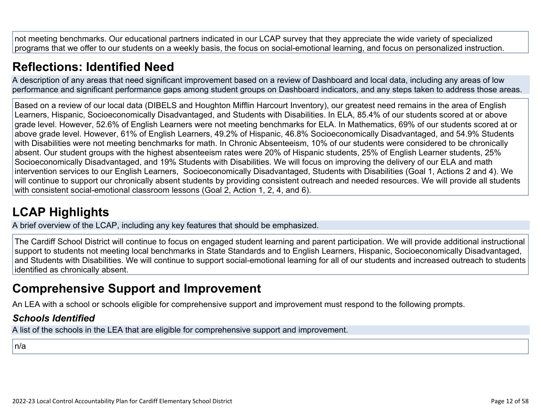not meeting benchmarks. Our educational partners indicated in our LCAP survey that they appreciate the wide variety of specialized programs that we offer to our students on a weekly basis, the focus on social-emotional learning, and focus on personalized instruction.

# **[Reflections: Identified Need](http://www.doc-tracking.com/screenshots/22LCAP/Instructions/22LCAPInstructions.htm#ReflectionsIdentifiedNeed)**

A description of any areas that need significant improvement based on a review of Dashboard and local data, including any areas of low performance and significant performance gaps among student groups on Dashboard indicators, and any steps taken to address those areas.

Based on a review of our local data (DIBELS and Houghton Mifflin Harcourt Inventory), our greatest need remains in the area of English Learners, Hispanic, Socioeconomically Disadvantaged, and Students with Disabilities. In ELA, 85.4% of our students scored at or above grade level. However, 52.6% of English Learners were not meeting benchmarks for ELA. In Mathematics, 69% of our students scored at or above grade level. However, 61% of English Learners, 49.2% of Hispanic, 46.8% Socioeconomically Disadvantaged, and 54.9% Students with Disabilities were not meeting benchmarks for math. In Chronic Absenteeism, 10% of our students were considered to be chronically absent. Our student groups with the highest absenteeism rates were 20% of Hispanic students, 25% of English Learner students, 25% Socioeconomically Disadvantaged, and 19% Students with Disabilities. We will focus on improving the delivery of our ELA and math intervention services to our English Learners, Socioeconomically Disadvantaged, Students with Disabilities (Goal 1, Actions 2 and 4). We will continue to support our chronically absent students by providing consistent outreach and needed resources. We will provide all students with consistent social-emotional classroom lessons (Goal 2, Action 1, 2, 4, and 6).

# **[LCAP Highlights](http://www.doc-tracking.com/screenshots/22LCAP/Instructions/22LCAPInstructions.htm#LCAPHighlights)**

A brief overview of the LCAP, including any key features that should be emphasized.

The Cardiff School District will continue to focus on engaged student learning and parent participation. We will provide additional instructional support to students not meeting local benchmarks in State Standards and to English Learners, Hispanic, Socioeconomically Disadvantaged, and Students with Disabilities. We will continue to support social-emotional learning for all of our students and increased outreach to students identified as chronically absent.

# **Comprehensive Support and Improvement**

An LEA with a school or schools eligible for comprehensive support and improvement must respond to the following prompts.

### *[Schools Identified](http://www.doc-tracking.com/screenshots/22LCAP/Instructions/22LCAPInstructions.htm#SchoolsIdentified)*

A list of the schools in the LEA that are eligible for comprehensive support and improvement.

n/a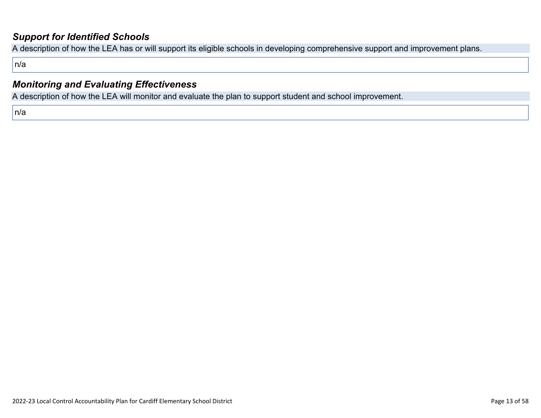### *[Support for Identified Schools](http://www.doc-tracking.com/screenshots/22LCAP/Instructions/22LCAPInstructions.htm#SupportforIdentifiedSchools)*

A description of how the LEA has or will support its eligible schools in developing comprehensive support and improvement plans.

n/a

### *[Monitoring and Evaluating Effectiveness](http://www.doc-tracking.com/screenshots/22LCAP/Instructions/22LCAPInstructions.htm#MonitoringandEvaluatingEffectiveness)*

A description of how the LEA will monitor and evaluate the plan to support student and school improvement.

n/a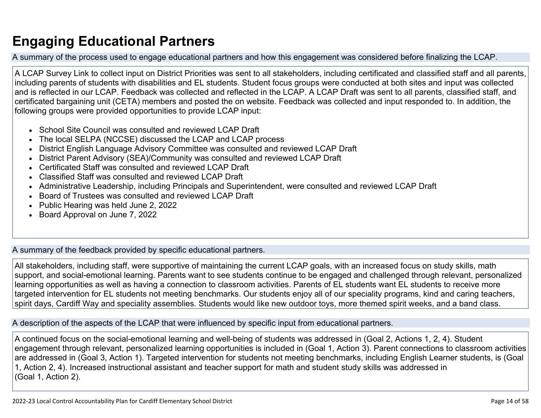# **Engaging Educational Partners**

A summary of the process used to engage educational partners and how this engagement was considered before finalizing the LCAP.

A LCAP Survey Link to collect input on District Priorities was sent to all stakeholders, including certificated and classified staff and all parents, including parents of students with disabilities and EL students. Student focus groups were conducted at both sites and input was collected and is reflected in our LCAP. Feedback was collected and reflected in the LCAP. A LCAP Draft was sent to all parents, classified staff, and certificated bargaining unit (CETA) members and posted the on website. Feedback was collected and input responded to. In addition, the following groups were provided opportunities to provide LCAP input:

- School Site Council was consulted and reviewed LCAP Draft
- The local SELPA (NCCSE) discussed the LCAP and LCAP process
- District English Language Advisory Committee was consulted and reviewed LCAP Draft
- District Parent Advisory (SEA)/Community was consulted and reviewed LCAP Draft
- Certificated Staff was consulted and reviewed LCAP Draft
- Classified Staff was consulted and reviewed LCAP Draft
- Administrative Leadership, including Principals and Superintendent, were consulted and reviewed LCAP Draft
- Board of Trustees was consulted and reviewed LCAP Draft
- Public Hearing was held June 2, 2022
- Board Approval on June 7, 2022

A summary of the feedback provided by specific educational partners.

All stakeholders, including staff, were supportive of maintaining the current LCAP goals, with an increased focus on study skills, math support, and social-emotional learning. Parents want to see students continue to be engaged and challenged through relevant, personalized learning opportunities as well as having a connection to classroom activities. Parents of EL students want EL students to receive more targeted intervention for EL students not meeting benchmarks. Our students enjoy all of our speciality programs, kind and caring teachers, spirit days, Cardiff Way and speciality assemblies. Students would like new outdoor toys, more themed spirit weeks, and a band class.

A description of the aspects of the LCAP that were influenced by specific input from educational partners.

A continued focus on the social-emotional learning and well-being of students was addressed in (Goal 2, Actions 1, 2, 4). Student engagement through relevant, personalized learning opportunities is included in (Goal 1, Action 3). Parent connections to classroom activities are addressed in (Goal 3, Action 1). Targeted intervention for students not meeting benchmarks, including English Learner students, is (Goal 1, Action 2, 4). Increased instructional assistant and teacher support for math and student study skills was addressed in (Goal 1, Action 2).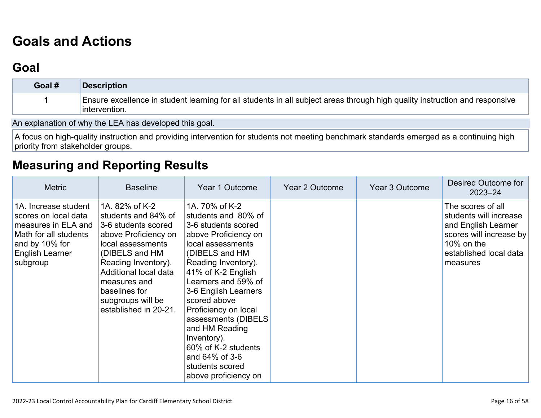# **[Goals and Actions](http://www.doc-tracking.com/screenshots/22LCAP/Instructions/22LCAPInstructions.htm#GoalsandActions)**

# **[Goal](http://www.doc-tracking.com/screenshots/22LCAP/Instructions/22LCAPInstructions.htm#goalDescription)**

| Goal # | <b>Description</b>                                                                                                                           |
|--------|----------------------------------------------------------------------------------------------------------------------------------------------|
|        | Ensure excellence in student learning for all students in all subject areas through high quality instruction and responsive<br>intervention. |

An explanation of why the LEA has developed this goal.

A focus on high-quality instruction and providing intervention for students not meeting benchmark standards emerged as a continuing high priority from stakeholder groups.

## **[Measuring and Reporting Results](http://www.doc-tracking.com/screenshots/22LCAP/Instructions/22LCAPInstructions.htm#MeasuringandReportingResults)**

| <b>Metric</b>                                                                                                                                 | <b>Baseline</b>                                                                                                                                                                                                                                            | Year 1 Outcome                                                                                                                                                                                                                                                                                                                                                                                              | <b>Year 2 Outcome</b> | Year 3 Outcome | Desired Outcome for<br>$2023 - 24$                                                                                                                |
|-----------------------------------------------------------------------------------------------------------------------------------------------|------------------------------------------------------------------------------------------------------------------------------------------------------------------------------------------------------------------------------------------------------------|-------------------------------------------------------------------------------------------------------------------------------------------------------------------------------------------------------------------------------------------------------------------------------------------------------------------------------------------------------------------------------------------------------------|-----------------------|----------------|---------------------------------------------------------------------------------------------------------------------------------------------------|
| 1A. Increase student<br>scores on local data<br>measures in ELA and<br>Math for all students<br>and by 10% for<br>English Learner<br>subgroup | 1A, 82% of K-2<br>students and 84% of<br>3-6 students scored<br>above Proficiency on<br>local assessments<br>(DIBELS and HM<br>Reading Inventory).<br>Additional local data<br>measures and<br>baselines for<br>subgroups will be<br>established in 20-21. | 1A. 70% of K-2<br>students and 80% of<br>3-6 students scored<br>above Proficiency on<br>local assessments<br>(DIBELS and HM<br>Reading Inventory).<br>41% of K-2 English<br>Learners and 59% of<br>3-6 English Learners<br>scored above<br>Proficiency on local<br>assessments (DIBELS<br>and HM Reading<br>Inventory).<br>60% of K-2 students<br>and 64% of 3-6<br>students scored<br>above proficiency on |                       |                | The scores of all<br>students will increase<br>and English Learner<br>scores will increase by<br>10% on the<br>established local data<br>measures |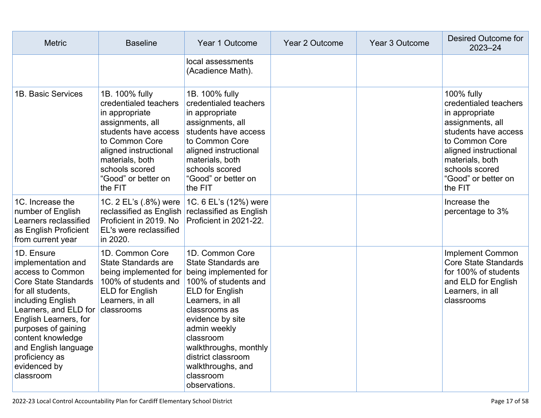| <b>Metric</b>                                                                                                                                                                                                                                                                                      | <b>Baseline</b>                                                                                                                                                                                                         | Year 1 Outcome                                                                                                                                                                                                                                                                                                           | <b>Year 2 Outcome</b> | Year 3 Outcome | Desired Outcome for<br>$2023 - 24$                                                                                                                                                                                  |
|----------------------------------------------------------------------------------------------------------------------------------------------------------------------------------------------------------------------------------------------------------------------------------------------------|-------------------------------------------------------------------------------------------------------------------------------------------------------------------------------------------------------------------------|--------------------------------------------------------------------------------------------------------------------------------------------------------------------------------------------------------------------------------------------------------------------------------------------------------------------------|-----------------------|----------------|---------------------------------------------------------------------------------------------------------------------------------------------------------------------------------------------------------------------|
|                                                                                                                                                                                                                                                                                                    |                                                                                                                                                                                                                         | local assessments<br>(Acadience Math).                                                                                                                                                                                                                                                                                   |                       |                |                                                                                                                                                                                                                     |
| 1B. Basic Services                                                                                                                                                                                                                                                                                 | 1B. 100% fully<br>credentialed teachers<br>in appropriate<br>assignments, all<br>students have access<br>to Common Core<br>aligned instructional<br>materials, both<br>schools scored<br>"Good" or better on<br>the FIT | 1B. 100% fully<br>credentialed teachers<br>in appropriate<br>assignments, all<br>students have access<br>to Common Core<br>aligned instructional<br>materials, both<br>schools scored<br>"Good" or better on<br>the FIT                                                                                                  |                       |                | 100% fully<br>credentialed teachers<br>in appropriate<br>assignments, all<br>students have access<br>to Common Core<br>aligned instructional<br>materials, both<br>schools scored<br>"Good" or better on<br>the FIT |
| 1C. Increase the<br>number of English<br>Learners reclassified<br>as English Proficient<br>from current year                                                                                                                                                                                       | Proficient in 2019. No<br>EL's were reclassified<br>in 2020.                                                                                                                                                            | 1C. 2 EL's (.8%) were   1C. 6 EL's (12%) were<br>reclassified as English reclassified as English<br>Proficient in 2021-22.                                                                                                                                                                                               |                       |                | Increase the<br>percentage to 3%                                                                                                                                                                                    |
| 1D. Ensure<br>implementation and<br>access to Common<br><b>Core State Standards</b><br>for all students,<br>including English<br>Learners, and ELD for<br>English Learners, for<br>purposes of gaining<br>content knowledge<br>and English language<br>proficiency as<br>evidenced by<br>classroom | 1D. Common Core<br>State Standards are<br>100% of students and<br><b>ELD for English</b><br>Learners, in all<br>classrooms                                                                                              | 1D. Common Core<br>State Standards are<br>being implemented for being implemented for<br>100% of students and<br>ELD for English<br>Learners, in all<br>classrooms as<br>evidence by site<br>admin weekly<br>classroom<br>walkthroughs, monthly<br>district classroom<br>walkthroughs, and<br>classroom<br>observations. |                       |                | <b>Implement Common</b><br><b>Core State Standards</b><br>for 100% of students<br>and ELD for English<br>Learners, in all<br>classrooms                                                                             |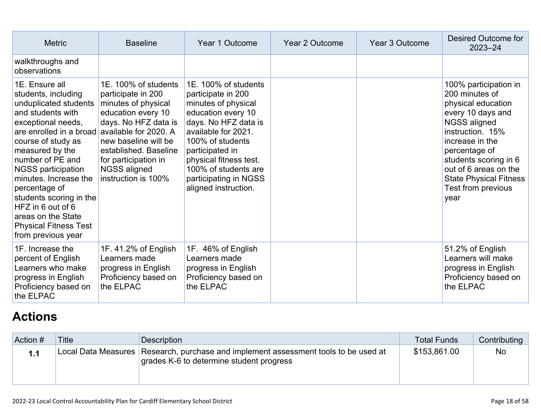| <b>Metric</b>                                                                                                                                                                                                                                                                                                                                                                                        | <b>Year 3 Outcome</b><br><b>Baseline</b><br>Year 1 Outcome<br><b>Year 2 Outcome</b>                                                                                                                                                                      |                                                                                                                                                                                                                                                                                  | <b>Desired Outcome for</b><br>$2023 - 24$ |                                                                                                                                                                                                                                                                             |
|------------------------------------------------------------------------------------------------------------------------------------------------------------------------------------------------------------------------------------------------------------------------------------------------------------------------------------------------------------------------------------------------------|----------------------------------------------------------------------------------------------------------------------------------------------------------------------------------------------------------------------------------------------------------|----------------------------------------------------------------------------------------------------------------------------------------------------------------------------------------------------------------------------------------------------------------------------------|-------------------------------------------|-----------------------------------------------------------------------------------------------------------------------------------------------------------------------------------------------------------------------------------------------------------------------------|
| walkthroughs and<br>observations                                                                                                                                                                                                                                                                                                                                                                     |                                                                                                                                                                                                                                                          |                                                                                                                                                                                                                                                                                  |                                           |                                                                                                                                                                                                                                                                             |
| 1E. Ensure all<br>students, including<br>unduplicated students<br>and students with<br>exceptional needs,<br>are enrolled in a broad<br>course of study as<br>measured by the<br>number of PE and<br><b>NGSS participation</b><br>minutes. Increase the<br>percentage of<br>students scoring in the<br>HFZ in 6 out of 6<br>areas on the State<br><b>Physical Fitness Test</b><br>from previous year | 1E. 100% of students<br>participate in 200<br>minutes of physical<br>education every 10<br>days. No HFZ data is<br>available for 2020. A<br>new baseline will be<br>established. Baseline<br>for participation in<br>NGSS aligned<br>instruction is 100% | 1E. 100% of students<br>participate in 200<br>minutes of physical<br>education every 10<br>days. No HFZ data is<br>available for 2021.<br>100% of students<br>participated in<br>physical fitness test.<br>100% of students are<br>participating in NGSS<br>aligned instruction. |                                           | 100% participation in<br>200 minutes of<br>physical education<br>every 10 days and<br>NGSS aligned<br>instruction. 15%<br>increase in the<br>percentage of<br>students scoring in 6<br>out of 6 areas on the<br><b>State Physical Fitness</b><br>Test from previous<br>year |
| 1F. Increase the<br>percent of English<br>Learners who make<br>progress in English<br>Proficiency based on<br>the ELPAC                                                                                                                                                                                                                                                                              | 1F. 41.2% of English<br>Learners made<br>progress in English<br>Proficiency based on<br>the ELPAC                                                                                                                                                        | 1F. 46% of English<br>Learners made<br>progress in English<br>Proficiency based on<br>the ELPAC                                                                                                                                                                                  |                                           | 51.2% of English<br>Learners will make<br>progress in English<br>Proficiency based on<br>the ELPAC                                                                                                                                                                          |

# **[Actions](http://www.doc-tracking.com/screenshots/22LCAP/Instructions/22LCAPInstructions.htm#actions)**

| Action # | <b>Title</b> | Description                                                                                                                     | <b>Total Funds</b> | Contributing |
|----------|--------------|---------------------------------------------------------------------------------------------------------------------------------|--------------------|--------------|
|          |              | Local Data Measures Research, purchase and implement assessment tools to be used at<br>grades K-6 to determine student progress | \$153,861.00       | <b>No</b>    |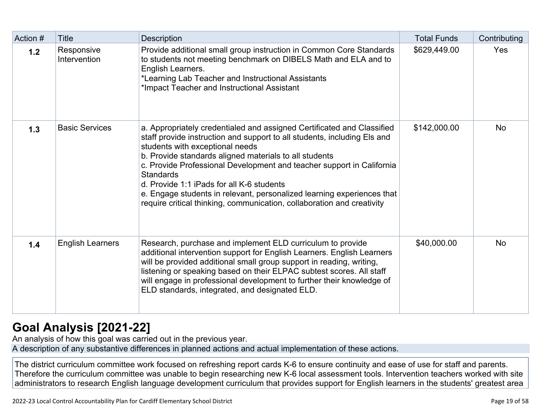| Action # | <b>Title</b>               | <b>Description</b>                                                                                                                                                                                                                                                                                                                                                                                                                                                                                                                            | <b>Total Funds</b> | Contributing |
|----------|----------------------------|-----------------------------------------------------------------------------------------------------------------------------------------------------------------------------------------------------------------------------------------------------------------------------------------------------------------------------------------------------------------------------------------------------------------------------------------------------------------------------------------------------------------------------------------------|--------------------|--------------|
| 1.2      | Responsive<br>Intervention | Provide additional small group instruction in Common Core Standards<br>to students not meeting benchmark on DIBELS Math and ELA and to<br>English Learners.<br>*Learning Lab Teacher and Instructional Assistants<br>*Impact Teacher and Instructional Assistant                                                                                                                                                                                                                                                                              | \$629,449.00       | Yes          |
| 1.3      | <b>Basic Services</b>      | a. Appropriately credentialed and assigned Certificated and Classified<br>staff provide instruction and support to all students, including Els and<br>students with exceptional needs<br>b. Provide standards aligned materials to all students<br>c. Provide Professional Development and teacher support in California<br><b>Standards</b><br>d. Provide 1:1 iPads for all K-6 students<br>e. Engage students in relevant, personalized learning experiences that<br>require critical thinking, communication, collaboration and creativity | \$142,000.00       | <b>No</b>    |
| 1.4      | <b>English Learners</b>    | Research, purchase and implement ELD curriculum to provide<br>additional intervention support for English Learners. English Learners<br>will be provided additional small group support in reading, writing,<br>listening or speaking based on their ELPAC subtest scores. All staff<br>will engage in professional development to further their knowledge of<br>ELD standards, integrated, and designated ELD.                                                                                                                               | \$40,000.00        | <b>No</b>    |

# **[Goal Analysis \[2021-22\]](http://www.doc-tracking.com/screenshots/22LCAP/Instructions/22LCAPInstructions.htm#GoalAnalysis)**

An analysis of how this goal was carried out in the previous year.

A description of any substantive differences in planned actions and actual implementation of these actions.

The district curriculum committee work focused on refreshing report cards K-6 to ensure continuity and ease of use for staff and parents. Therefore the curriculum committee was unable to begin researching new K-6 local assessment tools. Intervention teachers worked with site administrators to research English language development curriculum that provides support for English learners in the students' greatest area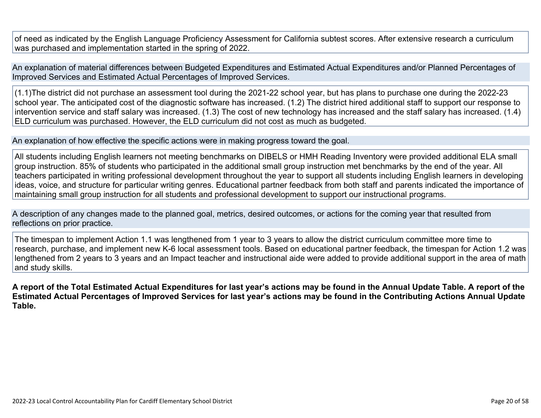of need as indicated by the English Language Proficiency Assessment for California subtest scores. After extensive research a curriculum was purchased and implementation started in the spring of 2022.

An explanation of material differences between Budgeted Expenditures and Estimated Actual Expenditures and/or Planned Percentages of Improved Services and Estimated Actual Percentages of Improved Services.

(1.1)The district did not purchase an assessment tool during the 2021-22 school year, but has plans to purchase one during the 2022-23 school year. The anticipated cost of the diagnostic software has increased. (1.2) The district hired additional staff to support our response to intervention service and staff salary was increased. (1.3) The cost of new technology has increased and the staff salary has increased. (1.4) ELD curriculum was purchased. However, the ELD curriculum did not cost as much as budgeted.

#### An explanation of how effective the specific actions were in making progress toward the goal.

All students including English learners not meeting benchmarks on DIBELS or HMH Reading Inventory were provided additional ELA small group instruction. 85% of students who participated in the additional small group instruction met benchmarks by the end of the year. All teachers participated in writing professional development throughout the year to support all students including English learners in developing ideas, voice, and structure for particular writing genres. Educational partner feedback from both staff and parents indicated the importance of maintaining small group instruction for all students and professional development to support our instructional programs.

A description of any changes made to the planned goal, metrics, desired outcomes, or actions for the coming year that resulted from reflections on prior practice.

The timespan to implement Action 1.1 was lengthened from 1 year to 3 years to allow the district curriculum committee more time to research, purchase, and implement new K-6 local assessment tools. Based on educational partner feedback, the timespan for Action 1.2 was lengthened from 2 years to 3 years and an Impact teacher and instructional aide were added to provide additional support in the area of math and study skills.

**A report of the Total Estimated Actual Expenditures for last year's actions may be found in the Annual Update Table. A report of the Estimated Actual Percentages of Improved Services for last year's actions may be found in the Contributing Actions Annual Update Table.**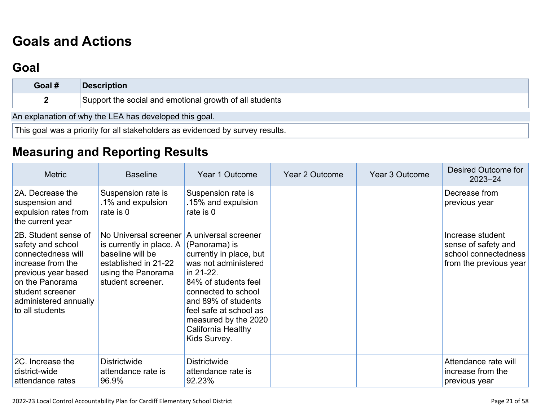# **[Goals and Actions](http://www.doc-tracking.com/screenshots/22LCAP/Instructions/22LCAPInstructions.htm#GoalsandActions)**

# **[Goal](http://www.doc-tracking.com/screenshots/22LCAP/Instructions/22LCAPInstructions.htm#goalDescription)**

| Goal #                                                 | <b>Description</b>                                                            |  |  |  |
|--------------------------------------------------------|-------------------------------------------------------------------------------|--|--|--|
|                                                        | Support the social and emotional growth of all students                       |  |  |  |
| An explanation of why the LEA has developed this goal. |                                                                               |  |  |  |
|                                                        | This goal was a priority for all stakeholders as evidenced by survey results. |  |  |  |

# **[Measuring and Reporting Results](http://www.doc-tracking.com/screenshots/22LCAP/Instructions/22LCAPInstructions.htm#MeasuringandReportingResults)**

| <b>Metric</b>                                                                                                                                                                                  | <b>Baseline</b>                                                                                                                                               | Year 1 Outcome                                                                                                                                                                                                                              | Year 2 Outcome | Year 3 Outcome | Desired Outcome for<br>$2023 - 24$                                                        |
|------------------------------------------------------------------------------------------------------------------------------------------------------------------------------------------------|---------------------------------------------------------------------------------------------------------------------------------------------------------------|---------------------------------------------------------------------------------------------------------------------------------------------------------------------------------------------------------------------------------------------|----------------|----------------|-------------------------------------------------------------------------------------------|
| 2A. Decrease the<br>suspension and<br>expulsion rates from<br>the current year                                                                                                                 | Suspension rate is<br>.1% and expulsion<br>rate is 0                                                                                                          | Suspension rate is<br>.15% and expulsion<br>rate is 0                                                                                                                                                                                       |                |                | Decrease from<br>previous year                                                            |
| 2B. Student sense of<br>safety and school<br>connectedness will<br>increase from the<br>previous year based<br>on the Panorama<br>student screener<br>administered annually<br>to all students | No Universal screener A universal screener<br>is currently in place. A<br>baseline will be<br>established in 21-22<br>using the Panorama<br>student screener. | (Panorama) is<br>currently in place, but<br>was not administered<br>in 21-22.<br>84% of students feel<br>connected to school<br>and 89% of students<br>feel safe at school as<br>measured by the 2020<br>California Healthy<br>Kids Survey. |                |                | Increase student<br>sense of safety and<br>school connectedness<br>from the previous year |
| 2C. Increase the<br>district-wide<br>attendance rates                                                                                                                                          | <b>Districtwide</b><br>attendance rate is<br>96.9%                                                                                                            | <b>Districtwide</b><br>attendance rate is<br>92.23%                                                                                                                                                                                         |                |                | Attendance rate will<br>increase from the<br>previous year                                |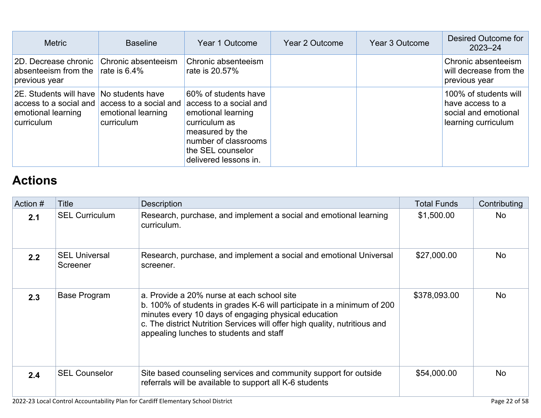| <b>Metric</b>                                                                        | <b>Baseline</b>                                                                | Year 1 Outcome                                                                                                                                                                 | Year 2 Outcome | Year 3 Outcome | Desired Outcome for<br>$2023 - 24$                                                       |
|--------------------------------------------------------------------------------------|--------------------------------------------------------------------------------|--------------------------------------------------------------------------------------------------------------------------------------------------------------------------------|----------------|----------------|------------------------------------------------------------------------------------------|
| 2D. Decrease chronic<br>absenteeism from the<br>previous year                        | Chronic absenteeism<br>rate is $6.4\%$                                         | Chronic absenteeism<br>rate is 20.57%                                                                                                                                          |                |                | Chronic absenteeism<br>will decrease from the<br>previous year                           |
| 2E. Students will have<br>access to a social and<br>emotional learning<br>curriculum | No students have<br>access to a social and<br>emotional learning<br>curriculum | 60% of students have<br>access to a social and<br>emotional learning<br>curriculum as<br>measured by the<br>number of classrooms<br>the SEL counselor<br>delivered lessons in. |                |                | 100% of students will<br>have access to a<br>social and emotional<br>learning curriculum |

# **[Actions](http://www.doc-tracking.com/screenshots/22LCAP/Instructions/22LCAPInstructions.htm#actions)**

| Action # | Title                            | <b>Description</b>                                                                                                                                                                                                                                                                                    | <b>Total Funds</b> | Contributing |
|----------|----------------------------------|-------------------------------------------------------------------------------------------------------------------------------------------------------------------------------------------------------------------------------------------------------------------------------------------------------|--------------------|--------------|
| 2.1      | <b>SEL Curriculum</b>            | Research, purchase, and implement a social and emotional learning<br>curriculum.                                                                                                                                                                                                                      | \$1,500.00         | No.          |
| 2.2      | <b>SEL Universal</b><br>Screener | Research, purchase, and implement a social and emotional Universal<br>screener.                                                                                                                                                                                                                       | \$27,000.00        | <b>No</b>    |
| 2.3      | Base Program                     | a. Provide a 20% nurse at each school site<br>b. 100% of students in grades K-6 will participate in a minimum of 200<br>minutes every 10 days of engaging physical education<br>c. The district Nutrition Services will offer high quality, nutritious and<br>appealing lunches to students and staff | \$378,093.00       | No.          |
| 2.4      | <b>SEL Counselor</b>             | Site based counseling services and community support for outside<br>referrals will be available to support all K-6 students                                                                                                                                                                           | \$54,000.00        | <b>No</b>    |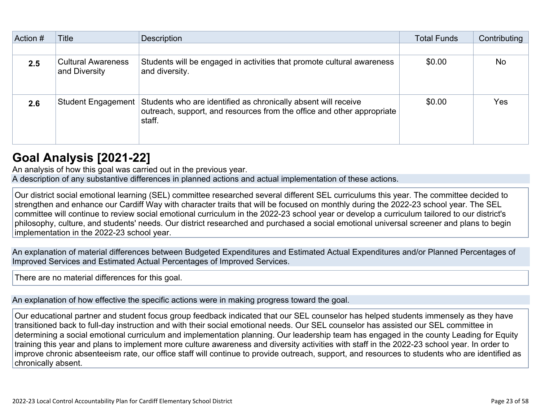| Action # | Title                                      | Description                                                                                                                                        | <b>Total Funds</b> | Contributing |
|----------|--------------------------------------------|----------------------------------------------------------------------------------------------------------------------------------------------------|--------------------|--------------|
|          |                                            |                                                                                                                                                    |                    |              |
| 2.5      | <b>Cultural Awareness</b><br>and Diversity | Students will be engaged in activities that promote cultural awareness<br>and diversity.                                                           | \$0.00             | <b>No</b>    |
| 2.6      | <b>Student Engagement</b>                  | Students who are identified as chronically absent will receive<br>outreach, support, and resources from the office and other appropriate<br>staff. | \$0.00             | Yes          |

## **[Goal Analysis \[2021-22\]](http://www.doc-tracking.com/screenshots/22LCAP/Instructions/22LCAPInstructions.htm#GoalAnalysis)**

An analysis of how this goal was carried out in the previous year. A description of any substantive differences in planned actions and actual implementation of these actions.

Our district social emotional learning (SEL) committee researched several different SEL curriculums this year. The committee decided to strengthen and enhance our Cardiff Way with character traits that will be focused on monthly during the 2022-23 school year. The SEL committee will continue to review social emotional curriculum in the 2022-23 school year or develop a curriculum tailored to our district's philosophy, culture, and students' needs. Our district researched and purchased a social emotional universal screener and plans to begin implementation in the 2022-23 school year.

An explanation of material differences between Budgeted Expenditures and Estimated Actual Expenditures and/or Planned Percentages of Improved Services and Estimated Actual Percentages of Improved Services.

There are no material differences for this goal.

An explanation of how effective the specific actions were in making progress toward the goal.

Our educational partner and student focus group feedback indicated that our SEL counselor has helped students immensely as they have transitioned back to full-day instruction and with their social emotional needs. Our SEL counselor has assisted our SEL committee in determining a social emotional curriculum and implementation planning. Our leadership team has engaged in the county Leading for Equity training this year and plans to implement more culture awareness and diversity activities with staff in the 2022-23 school year. In order to improve chronic absenteeism rate, our office staff will continue to provide outreach, support, and resources to students who are identified as chronically absent.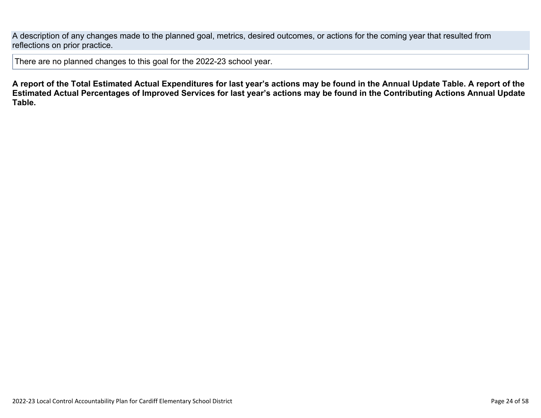A description of any changes made to the planned goal, metrics, desired outcomes, or actions for the coming year that resulted from reflections on prior practice.

There are no planned changes to this goal for the 2022-23 school year.

**A report of the Total Estimated Actual Expenditures for last year's actions may be found in the Annual Update Table. A report of the Estimated Actual Percentages of Improved Services for last year's actions may be found in the Contributing Actions Annual Update Table.**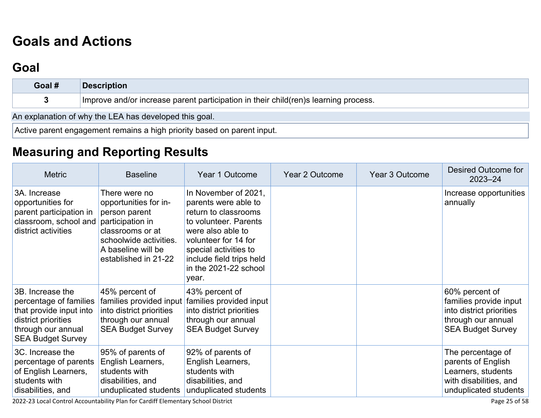# **[Goals and Actions](http://www.doc-tracking.com/screenshots/22LCAP/Instructions/22LCAPInstructions.htm#GoalsandActions)**

# **[Goal](http://www.doc-tracking.com/screenshots/22LCAP/Instructions/22LCAPInstructions.htm#goalDescription)**

| Goal #                                                                  | <b>Description</b>                                                                  |  |  |  |  |  |
|-------------------------------------------------------------------------|-------------------------------------------------------------------------------------|--|--|--|--|--|
|                                                                         | Improve and/or increase parent participation in their child(ren)s learning process. |  |  |  |  |  |
| An explanation of why the LEA has developed this goal.                  |                                                                                     |  |  |  |  |  |
| Active parent engagement remains a high priority based on parent input. |                                                                                     |  |  |  |  |  |

# **[Measuring and Reporting Results](http://www.doc-tracking.com/screenshots/22LCAP/Instructions/22LCAPInstructions.htm#MeasuringandReportingResults)**

| <b>Metric</b>                                                                                                                                  | <b>Baseline</b>                                                                                                                                                         | Year 1 Outcome                                                                                                                                                                                                                    | Year 2 Outcome | Year 3 Outcome | Desired Outcome for<br>$2023 - 24$                                                                                     |
|------------------------------------------------------------------------------------------------------------------------------------------------|-------------------------------------------------------------------------------------------------------------------------------------------------------------------------|-----------------------------------------------------------------------------------------------------------------------------------------------------------------------------------------------------------------------------------|----------------|----------------|------------------------------------------------------------------------------------------------------------------------|
| 3A. Increase<br>opportunities for<br>parent participation in<br>classroom, school and<br>district activities                                   | There were no<br>opportunities for in-<br>person parent<br>participation in<br>classrooms or at<br>schoolwide activities.<br>A baseline will be<br>established in 21-22 | In November of 2021,<br>parents were able to<br>return to classrooms<br>to volunteer. Parents<br>were also able to<br>volunteer for 14 for<br>special activities to<br>include field trips held<br>in the 2021-22 school<br>year. |                |                | Increase opportunities<br>annually                                                                                     |
| 3B. Increase the<br>percentage of families<br>that provide input into<br>district priorities<br>through our annual<br><b>SEA Budget Survey</b> | 45% percent of<br>families provided input<br>into district priorities<br>through our annual<br><b>SEA Budget Survey</b>                                                 | 43% percent of<br>families provided input<br>into district priorities<br>through our annual<br><b>SEA Budget Survey</b>                                                                                                           |                |                | 60% percent of<br>families provide input<br>into district priorities<br>through our annual<br><b>SEA Budget Survey</b> |
| 3C. Increase the<br>percentage of parents<br>of English Learners,<br>students with<br>disabilities, and                                        | 95% of parents of<br>English Learners,<br>students with<br>disabilities, and<br>unduplicated students                                                                   | 92% of parents of<br>English Learners,<br>students with<br>disabilities, and<br>unduplicated students                                                                                                                             |                |                | The percentage of<br>parents of English<br>Learners, students<br>with disabilities, and<br>unduplicated students       |

2022-23 Local Control Accountability Plan for Cardiff Elementary School District Page 25 of 58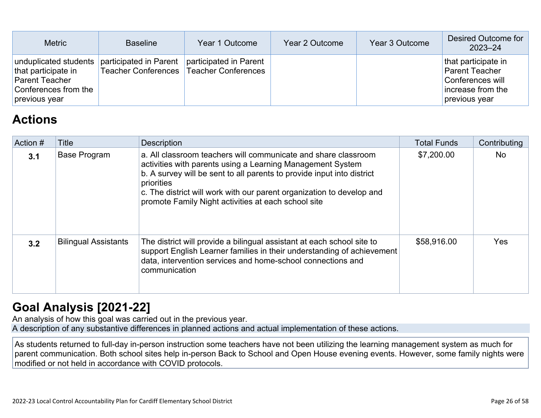| <b>Metric</b>                                                                                                  | <b>Baseline</b>        | Year 1 Outcome                                                      | Year 2 Outcome | Year 3 Outcome | Desired Outcome for<br>2023-24                                                                         |
|----------------------------------------------------------------------------------------------------------------|------------------------|---------------------------------------------------------------------|----------------|----------------|--------------------------------------------------------------------------------------------------------|
| unduplicated students<br>that participate in<br><b>Parent Teacher</b><br>Conferences from the<br>previous year | participated in Parent | participated in Parent<br>Teacher Conferences   Teacher Conferences |                |                | that participate in<br><b>Parent Teacher</b><br>Conferences will<br>increase from the<br>previous year |

# **[Actions](http://www.doc-tracking.com/screenshots/22LCAP/Instructions/22LCAPInstructions.htm#actions)**

| Action #         | Title                       | <b>Description</b>                                                                                                                                                                                                                                                                                                                                   | <b>Total Funds</b> | Contributing |
|------------------|-----------------------------|------------------------------------------------------------------------------------------------------------------------------------------------------------------------------------------------------------------------------------------------------------------------------------------------------------------------------------------------------|--------------------|--------------|
| 3.1              | <b>Base Program</b>         | a. All classroom teachers will communicate and share classroom<br>activities with parents using a Learning Management System<br>b. A survey will be sent to all parents to provide input into district<br>priorities<br>c. The district will work with our parent organization to develop and<br>promote Family Night activities at each school site | \$7,200.00         | <b>No</b>    |
| 3.2 <sub>2</sub> | <b>Bilingual Assistants</b> | The district will provide a bilingual assistant at each school site to<br>support English Learner families in their understanding of achievement<br>data, intervention services and home-school connections and<br>communication                                                                                                                     | \$58,916.00        | <b>Yes</b>   |

# **[Goal Analysis \[2021-22\]](http://www.doc-tracking.com/screenshots/22LCAP/Instructions/22LCAPInstructions.htm#GoalAnalysis)**

An analysis of how this goal was carried out in the previous year. A description of any substantive differences in planned actions and actual implementation of these actions.

As students returned to full-day in-person instruction some teachers have not been utilizing the learning management system as much for parent communication. Both school sites help in-person Back to School and Open House evening events. However, some family nights were modified or not held in accordance with COVID protocols.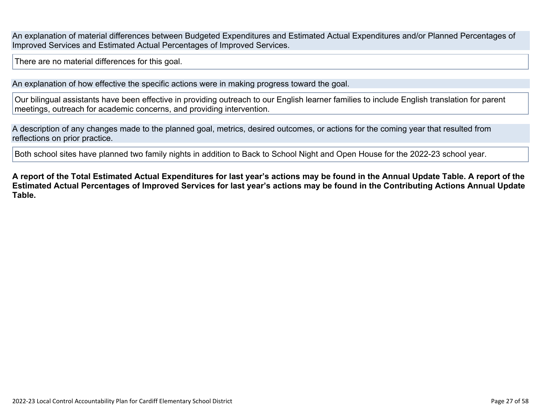An explanation of material differences between Budgeted Expenditures and Estimated Actual Expenditures and/or Planned Percentages of Improved Services and Estimated Actual Percentages of Improved Services.

There are no material differences for this goal.

An explanation of how effective the specific actions were in making progress toward the goal.

Our bilingual assistants have been effective in providing outreach to our English learner families to include English translation for parent meetings, outreach for academic concerns, and providing intervention.

A description of any changes made to the planned goal, metrics, desired outcomes, or actions for the coming year that resulted from reflections on prior practice.

Both school sites have planned two family nights in addition to Back to School Night and Open House for the 2022-23 school year.

**A report of the Total Estimated Actual Expenditures for last year's actions may be found in the Annual Update Table. A report of the Estimated Actual Percentages of Improved Services for last year's actions may be found in the Contributing Actions Annual Update Table.**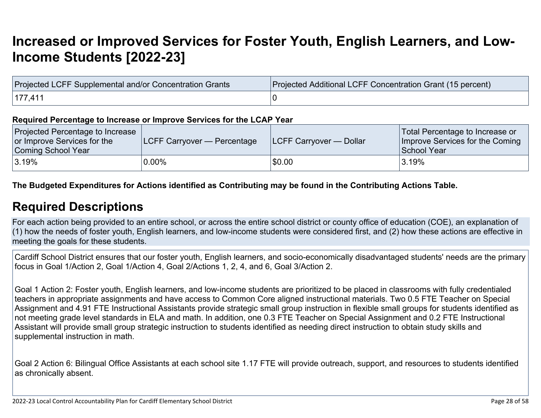# **[Increased or Improved Services for Foster Youth, English Learners, and Low-](http://www.doc-tracking.com/screenshots/22LCAP/Instructions/22LCAPInstructions.htm#IncreasedImprovedServices)[Income Students \[2022-23\]](http://www.doc-tracking.com/screenshots/22LCAP/Instructions/22LCAPInstructions.htm#IncreasedImprovedServices)**

| Projected LCFF Supplemental and/or Concentration Grants | Projected Additional LCFF Concentration Grant (15 percent) |
|---------------------------------------------------------|------------------------------------------------------------|
| 177.41                                                  |                                                            |

#### **Required Percentage to Increase or Improve Services for the LCAP Year**

| Projected Percentage to Increase<br>or Improve Services for the<br>Coming School Year | <b>ILCFF Carryover — Percentage</b> | <b>ILCFF Carryover — Dollar</b> | Total Percentage to Increase or<br>Improve Services for the Coming<br>School Year |
|---------------------------------------------------------------------------------------|-------------------------------------|---------------------------------|-----------------------------------------------------------------------------------|
| 3.19%                                                                                 | $0.00\%$                            | \$0.00                          | 3.19%                                                                             |

**The Budgeted Expenditures for Actions identified as Contributing may be found in the Contributing Actions Table.**

### **[Required Descriptions](http://www.doc-tracking.com/screenshots/22LCAP/Instructions/22LCAPInstructions.htm#RequiredDescriptions)**

For each action being provided to an entire school, or across the entire school district or county office of education (COE), an explanation of (1) how the needs of foster youth, English learners, and low-income students were considered first, and (2) how these actions are effective in meeting the goals for these students.

Cardiff School District ensures that our foster youth, English learners, and socio-economically disadvantaged students' needs are the primary focus in Goal 1/Action 2, Goal 1/Action 4, Goal 2/Actions 1, 2, 4, and 6, Goal 3/Action 2.

Goal 1 Action 2: Foster youth, English learners, and low-income students are prioritized to be placed in classrooms with fully credentialed teachers in appropriate assignments and have access to Common Core aligned instructional materials. Two 0.5 FTE Teacher on Special Assignment and 4.91 FTE Instructional Assistants provide strategic small group instruction in flexible small groups for students identified as not meeting grade level standards in ELA and math. In addition, one 0.3 FTE Teacher on Special Assignment and 0.2 FTE Instructional Assistant will provide small group strategic instruction to students identified as needing direct instruction to obtain study skills and supplemental instruction in math.

Goal 2 Action 6: Bilingual Office Assistants at each school site 1.17 FTE will provide outreach, support, and resources to students identified as chronically absent.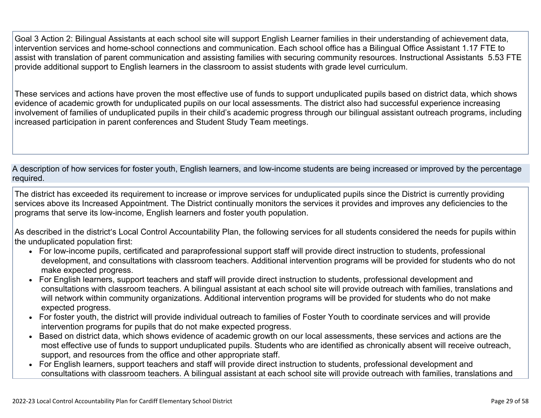Goal 3 Action 2: Bilingual Assistants at each school site will support English Learner families in their understanding of achievement data, intervention services and home-school connections and communication. Each school office has a Bilingual Office Assistant 1.17 FTE to assist with translation of parent communication and assisting families with securing community resources. Instructional Assistants 5.53 FTE provide additional support to English learners in the classroom to assist students with grade level curriculum.

These services and actions have proven the most effective use of funds to support unduplicated pupils based on district data, which shows evidence of academic growth for unduplicated pupils on our local assessments. The district also had successful experience increasing involvement of families of unduplicated pupils in their child's academic progress through our bilingual assistant outreach programs, including increased participation in parent conferences and Student Study Team meetings.

A description of how services for foster youth, English learners, and low-income students are being increased or improved by the percentage required.

The district has exceeded its requirement to increase or improve services for unduplicated pupils since the District is currently providing services above its Increased Appointment. The District continually monitors the services it provides and improves any deficiencies to the programs that serve its low-income, English learners and foster youth population.

As described in the district's Local Control Accountability Plan, the following services for all students considered the needs for pupils within the unduplicated population first:

- For low-income pupils, certificated and paraprofessional support staff will provide direct instruction to students, professional development, and consultations with classroom teachers. Additional intervention programs will be provided for students who do not make expected progress.
- For English learners, support teachers and staff will provide direct instruction to students, professional development and consultations with classroom teachers. A bilingual assistant at each school site will provide outreach with families, translations and will network within community organizations. Additional intervention programs will be provided for students who do not make expected progress.
- For foster youth, the district will provide individual outreach to families of Foster Youth to coordinate services and will provide intervention programs for pupils that do not make expected progress.
- Based on district data, which shows evidence of academic growth on our local assessments, these services and actions are the most effective use of funds to support unduplicated pupils. Students who are identified as chronically absent will receive outreach, support, and resources from the office and other appropriate staff.
- For English learners, support teachers and staff will provide direct instruction to students, professional development and consultations with classroom teachers. A bilingual assistant at each school site will provide outreach with families, translations and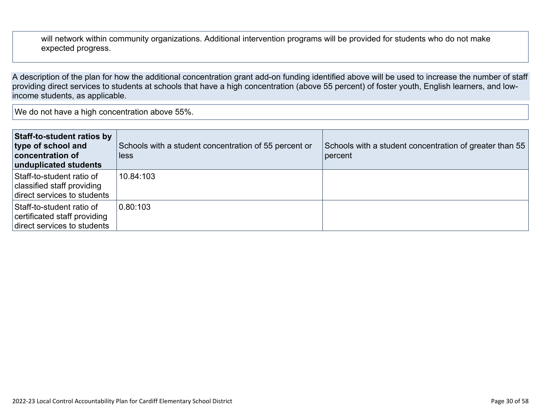will network within community organizations. Additional intervention programs will be provided for students who do not make expected progress.

A description of the plan for how the additional concentration grant add-on funding identified above will be used to increase the number of staff providing direct services to students at schools that have a high concentration (above 55 percent) of foster youth, English learners, and lowincome students, as applicable.

We do not have a high concentration above 55%.

| Staff-to-student ratios by<br>type of school and<br>concentration of<br>unduplicated students | Schools with a student concentration of 55 percent or<br>less | Schools with a student concentration of greater than 55<br>percent |
|-----------------------------------------------------------------------------------------------|---------------------------------------------------------------|--------------------------------------------------------------------|
| Staff-to-student ratio of<br>classified staff providing<br>direct services to students        | 10.84:103                                                     |                                                                    |
| Staff-to-student ratio of<br>certificated staff providing<br>direct services to students      | 0.80:103                                                      |                                                                    |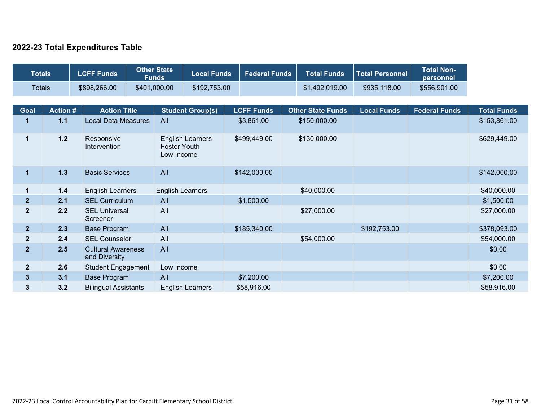### **2022-23 Total Expenditures Table**

| <b>Totals</b>    |                 | <b>LCFF Funds</b>                          | <b>Other State</b><br><b>Funds</b> | <b>Local Funds</b>      |  | <b>Federal Funds</b>                                         | <b>Total Funds</b>       | <b>Total Personnel</b> | <b>Total Non-</b><br>personnel |                    |  |              |
|------------------|-----------------|--------------------------------------------|------------------------------------|-------------------------|--|--------------------------------------------------------------|--------------------------|------------------------|--------------------------------|--------------------|--|--------------|
| <b>Totals</b>    |                 | \$898,266.00                               | \$401,000.00                       | \$192,753.00            |  |                                                              | \$1,492,019.00           | \$935,118.00           | \$556,901.00                   |                    |  |              |
|                  |                 |                                            |                                    |                         |  |                                                              |                          |                        |                                |                    |  |              |
| Goal             | <b>Action #</b> | <b>Action Title</b>                        |                                    | <b>Student Group(s)</b> |  | <b>LCFF Funds</b>                                            | <b>Other State Funds</b> | <b>Local Funds</b>     | <b>Federal Funds</b>           | <b>Total Funds</b> |  |              |
| 1                | $1.1$           | <b>Local Data Measures</b>                 | All                                |                         |  | \$3,861.00                                                   | \$150,000.00             |                        |                                | \$153,861.00       |  |              |
| $\mathbf{1}$     | $1.2$           | Responsive<br>Intervention                 |                                    |                         |  | <b>English Learners</b><br><b>Foster Youth</b><br>Low Income |                          | \$499,449.00           | \$130,000.00                   |                    |  | \$629,449.00 |
| $\mathbf{1}$     | $1.3$           | <b>Basic Services</b>                      | All                                |                         |  | \$142,000.00                                                 |                          |                        |                                | \$142,000.00       |  |              |
| 1                | $1.4$           | <b>English Learners</b>                    | <b>English Learners</b>            |                         |  |                                                              | \$40,000.00              |                        |                                | \$40,000.00        |  |              |
| $\overline{2}$   | 2.1             | <b>SEL Curriculum</b>                      | All                                |                         |  | \$1,500.00                                                   |                          |                        |                                | \$1,500.00         |  |              |
| $\boldsymbol{2}$ | 2.2             | <b>SEL Universal</b><br>Screener           | All                                |                         |  |                                                              | \$27,000.00              |                        |                                | \$27,000.00        |  |              |
| 2 <sup>2</sup>   | 2.3             | <b>Base Program</b>                        | All                                |                         |  | \$185,340.00                                                 |                          | \$192,753.00           |                                | \$378,093.00       |  |              |
| $\overline{2}$   | 2.4             | <b>SEL Counselor</b>                       | All                                |                         |  |                                                              | \$54,000.00              |                        |                                | \$54,000.00        |  |              |
| $\overline{2}$   | 2.5             | <b>Cultural Awareness</b><br>and Diversity | All                                |                         |  |                                                              |                          |                        |                                | \$0.00             |  |              |
| $\boldsymbol{2}$ | 2.6             | <b>Student Engagement</b>                  | Low Income                         |                         |  |                                                              |                          |                        |                                | \$0.00             |  |              |
| $\mathbf{3}$     | 3.1             | <b>Base Program</b>                        | All                                |                         |  | \$7,200.00                                                   |                          |                        |                                | \$7,200.00         |  |              |
| $\mathbf{3}$     | 3.2             | <b>Bilingual Assistants</b>                |                                    | <b>English Learners</b> |  | \$58,916.00                                                  |                          |                        |                                | \$58,916.00        |  |              |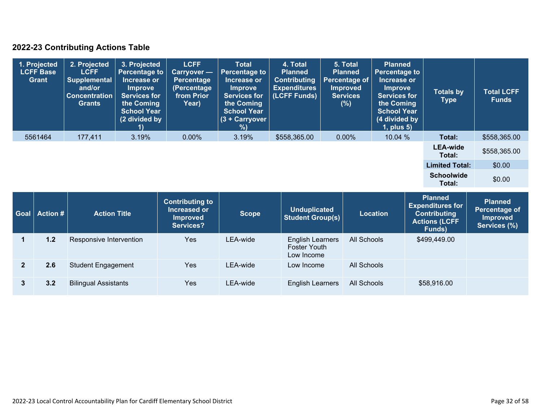### **2022-23 Contributing Actions Table**

|      | 1. Projected<br><b>LCFF Base</b><br>Grant | 2. Projected<br><b>LCFF</b><br><b>Supplemental</b><br>and/or<br><b>Concentration</b><br><b>Grants</b> | 3. Projected<br><b>Percentage to</b><br>Increase or<br><b>Improve</b><br><b>Services for</b><br>the Coming<br><b>School Year</b><br>(2 divided by | <b>LCFF</b><br>Carryover -<br>Percentage<br>(Percentage<br>from Prior<br>Year)        | <b>Total</b><br><b>Percentage to</b><br>Increase or<br><b>Improve</b><br><b>Services for</b><br>the Coming<br><b>School Year</b><br>(3 + Carryover<br>%) | 4. Total<br><b>Planned</b><br><b>Contributing</b><br><b>Expenditures</b><br>(LCFF Funds) | 5. Total<br><b>Planned</b><br><b>Percentage of</b><br><b>Improved</b><br><b>Services</b><br>(% ) |                 | <b>Planned</b><br><b>Percentage to</b><br>Increase or<br><b>Improve</b><br><b>Services for</b><br>the Coming<br><b>School Year</b><br>(4 divided by<br>1, plus 5) | <b>Totals by</b><br><b>Type</b>                                                          | <b>Total LCFF</b><br><b>Funds</b>                                 |
|------|-------------------------------------------|-------------------------------------------------------------------------------------------------------|---------------------------------------------------------------------------------------------------------------------------------------------------|---------------------------------------------------------------------------------------|----------------------------------------------------------------------------------------------------------------------------------------------------------|------------------------------------------------------------------------------------------|--------------------------------------------------------------------------------------------------|-----------------|-------------------------------------------------------------------------------------------------------------------------------------------------------------------|------------------------------------------------------------------------------------------|-------------------------------------------------------------------|
|      | 5561464                                   | 177,411                                                                                               | 3.19%                                                                                                                                             | $0.00\%$                                                                              | 3.19%                                                                                                                                                    | \$558,365.00                                                                             | $0.00\%$                                                                                         | 10.04 %         |                                                                                                                                                                   | Total:                                                                                   | \$558,365.00                                                      |
|      |                                           |                                                                                                       |                                                                                                                                                   |                                                                                       |                                                                                                                                                          |                                                                                          |                                                                                                  |                 |                                                                                                                                                                   | <b>LEA-wide</b><br>Total:                                                                | \$558,365.00                                                      |
|      |                                           |                                                                                                       |                                                                                                                                                   |                                                                                       |                                                                                                                                                          |                                                                                          |                                                                                                  |                 |                                                                                                                                                                   | <b>Limited Total:</b>                                                                    | \$0.00                                                            |
|      |                                           |                                                                                                       |                                                                                                                                                   |                                                                                       |                                                                                                                                                          |                                                                                          |                                                                                                  |                 |                                                                                                                                                                   | <b>Schoolwide</b><br>Total:                                                              | \$0.00                                                            |
| Goal | <b>Action #</b>                           | <b>Action Title</b>                                                                                   |                                                                                                                                                   | <b>Contributing to</b><br><b>Increased or</b><br><b>Improved</b><br><b>Sonvicos</b> ? | <b>Scope</b>                                                                                                                                             | <b>Unduplicated</b><br><b>Student Group(s)</b>                                           |                                                                                                  | <b>Location</b> |                                                                                                                                                                   | <b>Planned</b><br><b>Expenditures for</b><br><b>Contributing</b><br><b>Actions (LCFF</b> | <b>Planned</b><br>Percentage of<br><b>Improved</b><br>Samings (%) |

|     |                             | <b>Improved</b><br><b>Services?</b> |          | Student Group(S)                                      |             | <b>Actions (LCFF</b><br>Funds) | <b>Improved</b><br>Services (%) |
|-----|-----------------------------|-------------------------------------|----------|-------------------------------------------------------|-------------|--------------------------------|---------------------------------|
| 1.2 | Responsive Intervention     | Yes                                 | LEA-wide | English Learners<br><b>Foster Youth</b><br>Low Income | All Schools | \$499,449.00                   |                                 |
| 2.6 | <b>Student Engagement</b>   | Yes                                 | LEA-wide | Low Income                                            | All Schools |                                |                                 |
| 3.2 | <b>Bilingual Assistants</b> | Yes                                 | LEA-wide | <b>English Learners</b>                               | All Schools | \$58,916.00                    |                                 |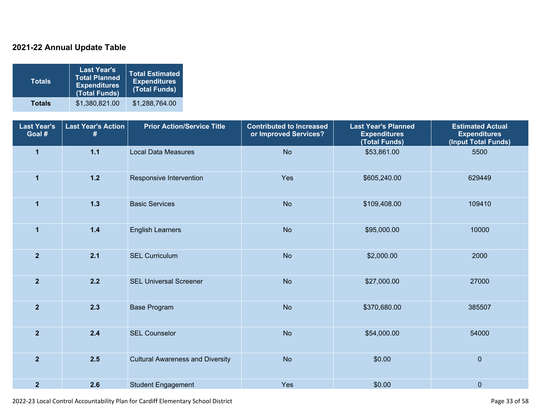### **2021-22 Annual Update Table**

| <b>Totals</b> | <b>Last Year's</b><br><b>Total Planned</b><br><b>Expenditures</b><br>(Total Funds) | <b>Total Estimated</b><br><b>Expenditures</b><br>(Total Funds) |
|---------------|------------------------------------------------------------------------------------|----------------------------------------------------------------|
| <b>Totals</b> | \$1,380,821.00                                                                     | \$1,288,764.00                                                 |

| <b>Last Year's</b><br>Goal # | <b>Last Year's Action</b><br># | <b>Prior Action/Service Title</b>       | <b>Contributed to Increased</b><br>or Improved Services? | <b>Last Year's Planned</b><br><b>Expenditures</b><br>(Total Funds) | <b>Estimated Actual</b><br><b>Expenditures</b><br>(Input Total Funds) |
|------------------------------|--------------------------------|-----------------------------------------|----------------------------------------------------------|--------------------------------------------------------------------|-----------------------------------------------------------------------|
| $\mathbf{1}$                 | $1.1$                          | <b>Local Data Measures</b>              | <b>No</b>                                                | \$53,861.00                                                        | 5500                                                                  |
| $\mathbf{1}$                 | $1.2$                          | Responsive Intervention                 | Yes                                                      | \$605,240.00                                                       | 629449                                                                |
| $\mathbf{1}$                 | $1.3$                          | <b>Basic Services</b>                   | <b>No</b>                                                | \$109,408.00                                                       | 109410                                                                |
| $\mathbf{1}$                 | $1.4$                          | <b>English Learners</b>                 | <b>No</b>                                                | \$95,000.00                                                        | 10000                                                                 |
| $\overline{2}$               | 2.1                            | <b>SEL Curriculum</b>                   | <b>No</b>                                                | \$2,000.00                                                         | 2000                                                                  |
| $\overline{2}$               | $2.2$                          | <b>SEL Universal Screener</b>           | <b>No</b>                                                | \$27,000.00                                                        | 27000                                                                 |
| $\overline{2}$               | 2.3                            | <b>Base Program</b>                     | <b>No</b>                                                | \$370,680.00                                                       | 385507                                                                |
| $\overline{2}$               | $2.4$                          | <b>SEL Counselor</b>                    | <b>No</b>                                                | \$54,000.00                                                        | 54000                                                                 |
| $\overline{2}$               | 2.5                            | <b>Cultural Awareness and Diversity</b> | <b>No</b>                                                | \$0.00                                                             | $\overline{0}$                                                        |
| $\overline{2}$               | 2.6                            | <b>Student Engagement</b>               | Yes                                                      | \$0.00                                                             | $\pmb{0}$                                                             |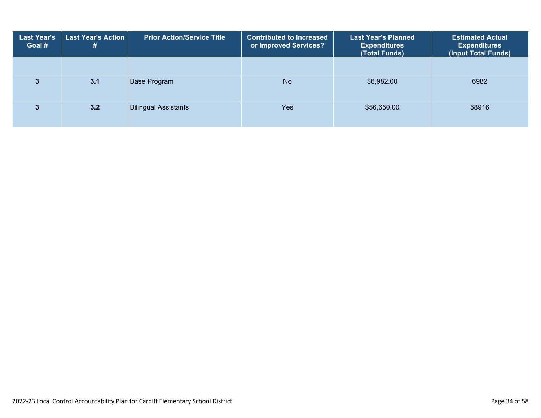| <b>Last Year's</b><br>Goal # | <b>Last Year's Action</b>  <br># | <b>Prior Action/Service Title</b> | <b>Contributed to Increased</b><br>or Improved Services? | <b>Last Year's Planned</b><br><b>Expenditures</b><br>(Total Funds) | <b>Estimated Actual</b><br><b>Expenditures</b><br>(Input Total Funds) |
|------------------------------|----------------------------------|-----------------------------------|----------------------------------------------------------|--------------------------------------------------------------------|-----------------------------------------------------------------------|
|                              |                                  |                                   |                                                          |                                                                    |                                                                       |
|                              | 3.1                              | Base Program                      | <b>No</b>                                                | \$6,982.00                                                         | 6982                                                                  |
|                              | 3.2                              | <b>Bilingual Assistants</b>       | Yes                                                      | \$56,650.00                                                        | 58916                                                                 |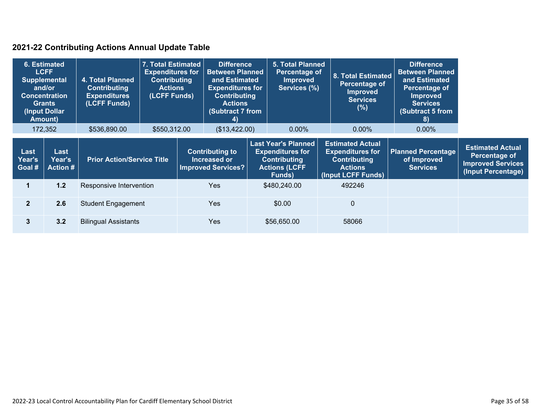### **2021-22 Contributing Actions Annual Update Table**

| 6. Estimated<br><b>LCFF</b><br><b>Supplemental</b><br>and/or<br><b>Concentration</b><br><b>Grants</b><br>(Input Dollar<br><b>Amount)</b> |                                          | <b>4. Total Planned</b><br><b>Contributing</b><br><b>Expenditures</b><br>(LCFF Funds) | 7. Total Estimated<br><b>Expenditures for</b><br><b>Contributing</b><br><b>Actions</b><br>(LCFF Funds) |  | <b>Difference</b><br><b>Between Planned</b><br>and Estimated<br><b>Expenditures for</b><br><b>Contributing</b><br><b>Actions</b><br><b>Subtract 7 from</b><br>4) |                                                                                                                | <b>5. Total Planned</b><br>Percentage of<br><b>Improved</b><br>Services (%) |  | 8. Total Estimated<br>Percentage of<br><b>Improved</b><br><b>Services</b><br>(%)                                  | <b>Difference</b><br><b>Between Planned</b><br>and Estimated<br>Percentage of<br><b>Improved</b><br><b>Services</b><br>(Subtract 5 from<br>8) |                                                                                            |
|------------------------------------------------------------------------------------------------------------------------------------------|------------------------------------------|---------------------------------------------------------------------------------------|--------------------------------------------------------------------------------------------------------|--|------------------------------------------------------------------------------------------------------------------------------------------------------------------|----------------------------------------------------------------------------------------------------------------|-----------------------------------------------------------------------------|--|-------------------------------------------------------------------------------------------------------------------|-----------------------------------------------------------------------------------------------------------------------------------------------|--------------------------------------------------------------------------------------------|
|                                                                                                                                          | 172,352                                  | \$536,890.00                                                                          | \$550,312.00                                                                                           |  | (\$13,422.00)                                                                                                                                                    |                                                                                                                | $0.00\%$                                                                    |  | $0.00\%$                                                                                                          | $0.00\%$                                                                                                                                      |                                                                                            |
| Last<br><b>Year's</b><br>Goal #                                                                                                          | Last<br><b>Year's</b><br><b>Action #</b> |                                                                                       | <b>Prior Action/Service Title</b>                                                                      |  | <b>Contributing to</b><br>Increased or<br><b>Improved Services?</b>                                                                                              | <b>Last Year's Planned</b><br><b>Expenditures for</b><br><b>Contributing</b><br><b>Actions (LCFF</b><br>Funds) |                                                                             |  | <b>Estimated Actual</b><br><b>Expenditures for</b><br><b>Contributing</b><br><b>Actions</b><br>(Input LCFF Funds) | <b>Planned Percentage</b><br>of Improved<br><b>Services</b>                                                                                   | <b>Estimated Actual</b><br>Percentage of<br><b>Improved Services</b><br>(Input Percentage) |
|                                                                                                                                          | 1.2                                      |                                                                                       | Responsive Intervention                                                                                |  | <b>Yes</b>                                                                                                                                                       |                                                                                                                | \$480,240.00                                                                |  | 492246                                                                                                            |                                                                                                                                               |                                                                                            |
| $\overline{2}$                                                                                                                           | 2.6                                      | <b>Student Engagement</b>                                                             |                                                                                                        |  | <b>Yes</b>                                                                                                                                                       |                                                                                                                | \$0.00                                                                      |  | 0                                                                                                                 |                                                                                                                                               |                                                                                            |
| 3                                                                                                                                        | 3.2                                      | <b>Bilingual Assistants</b>                                                           |                                                                                                        |  | <b>Yes</b>                                                                                                                                                       |                                                                                                                | \$56,650.00                                                                 |  | 58066                                                                                                             |                                                                                                                                               |                                                                                            |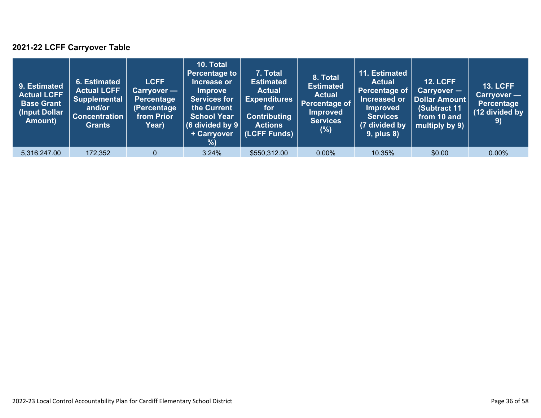### **2021-22 LCFF Carryover Table**

| 9. Estimated<br>Actual LCFF<br><b>Base Grant</b><br>(Input Dollar)<br>Amount) | 6. Estimated<br><b>Actual LCFF</b><br><b>Supplemental</b><br>and/or<br><b>Concentration</b><br><b>Grants</b> | <b>LCFF</b><br>Carryover —<br><b>Percentage</b><br>(Percentage<br>from Prior<br>Year) | 10. Total<br><b>Percentage to</b><br>Increase or<br><b>Improve</b><br><b>Services for</b><br>the Current<br><b>School Year</b><br>(6 divided by $9$ $ $<br>+ Carryover<br>% | 7. Total<br><b>Estimated</b><br><b>Actual</b><br><b>Expenditures</b><br>for<br><b>Contributing</b><br><b>Actions</b><br>(LCFF Funds) | 8. Total<br><b>Estimated</b><br><b>Actual</b><br>Percentage of<br><b>Improved</b><br><b>Services</b><br>$(\%)$ | 11. Estimated<br><b>Actual</b><br>Percentage of<br>Increased or<br><b>Improved</b><br><b>Services</b><br>(7 divided by<br><b>9, plus 8)</b> | <b>12. LCFF</b><br>$Carryover -$<br><b>Dollar Amount</b><br>(Subtract 11<br>from 10 and<br>multiply by 9) | <b>13. LCFF</b><br>Carryover —<br><b>Percentage</b><br>(12 divided by<br>9) |
|-------------------------------------------------------------------------------|--------------------------------------------------------------------------------------------------------------|---------------------------------------------------------------------------------------|-----------------------------------------------------------------------------------------------------------------------------------------------------------------------------|--------------------------------------------------------------------------------------------------------------------------------------|----------------------------------------------------------------------------------------------------------------|---------------------------------------------------------------------------------------------------------------------------------------------|-----------------------------------------------------------------------------------------------------------|-----------------------------------------------------------------------------|
| 5,316,247.00                                                                  | 172,352                                                                                                      | $\mathbf{0}$                                                                          | 3.24%                                                                                                                                                                       | \$550,312.00                                                                                                                         | $0.00\%$                                                                                                       | 10.35%                                                                                                                                      | \$0.00                                                                                                    | $0.00\%$                                                                    |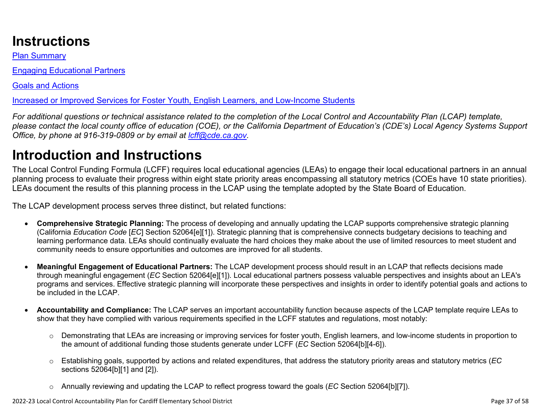# **Instructions**

Plan Summary

Engaging Educational Partners

Goals and Actions

Increased or Improved Services for Foster Youth, English Learners, and Low-Income Students

*For additional questions or technical assistance related to the completion of the Local Control and Accountability Plan (LCAP) template, please contact the local county office of education (COE), or the California Department of Education's (CDE's) Local Agency Systems Support Office, by phone at 916-319-0809 or by email at [lcff@cde.ca.gov](mailto:lcff@cde.ca.gov).*

# **Introduction and Instructions**

The Local Control Funding Formula (LCFF) requires local educational agencies (LEAs) to engage their local educational partners in an annual planning process to evaluate their progress within eight state priority areas encompassing all statutory metrics (COEs have 10 state priorities). LEAs document the results of this planning process in the LCAP using the template adopted by the State Board of Education.

The LCAP development process serves three distinct, but related functions:

- **Comprehensive Strategic Planning:** The process of developing and annually updating the LCAP supports comprehensive strategic planning (California *Education Code* [*EC*] Section 52064[e][1]). Strategic planning that is comprehensive connects budgetary decisions to teaching and learning performance data. LEAs should continually evaluate the hard choices they make about the use of limited resources to meet student and community needs to ensure opportunities and outcomes are improved for all students.
- **Meaningful Engagement of Educational Partners:** The LCAP development process should result in an LCAP that reflects decisions made through meaningful engagement (*EC* Section 52064[e][1]). Local educational partners possess valuable perspectives and insights about an LEA's programs and services. Effective strategic planning will incorporate these perspectives and insights in order to identify potential goals and actions to be included in the LCAP.
- **Accountability and Compliance:** The LCAP serves an important accountability function because aspects of the LCAP template require LEAs to show that they have complied with various requirements specified in the LCFF statutes and regulations, most notably:
	- o Demonstrating that LEAs are increasing or improving services for foster youth, English learners, and low-income students in proportion to the amount of additional funding those students generate under LCFF (*EC* Section 52064[b][4-6]).
	- o Establishing goals, supported by actions and related expenditures, that address the statutory priority areas and statutory metrics (*EC* sections 52064[b][1] and [2]).
	- o Annually reviewing and updating the LCAP to reflect progress toward the goals (*EC* Section 52064[b][7]).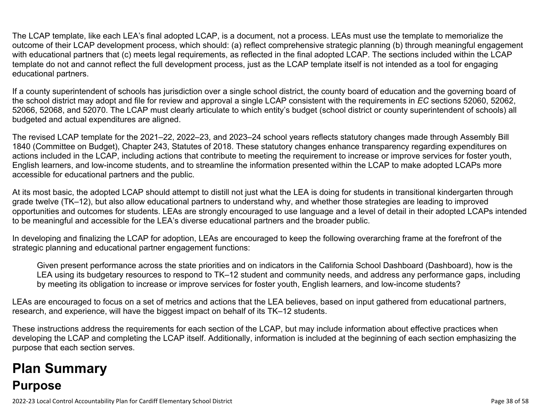The LCAP template, like each LEA's final adopted LCAP, is a document, not a process. LEAs must use the template to memorialize the outcome of their LCAP development process, which should: (a) reflect comprehensive strategic planning (b) through meaningful engagement with educational partners that (c) meets legal requirements, as reflected in the final adopted LCAP. The sections included within the LCAP template do not and cannot reflect the full development process, just as the LCAP template itself is not intended as a tool for engaging educational partners.

If a county superintendent of schools has jurisdiction over a single school district, the county board of education and the governing board of the school district may adopt and file for review and approval a single LCAP consistent with the requirements in *EC* sections 52060, 52062, 52066, 52068, and 52070. The LCAP must clearly articulate to which entity's budget (school district or county superintendent of schools) all budgeted and actual expenditures are aligned.

The revised LCAP template for the 2021–22, 2022–23, and 2023–24 school years reflects statutory changes made through Assembly Bill 1840 (Committee on Budget), Chapter 243, Statutes of 2018. These statutory changes enhance transparency regarding expenditures on actions included in the LCAP, including actions that contribute to meeting the requirement to increase or improve services for foster youth, English learners, and low-income students, and to streamline the information presented within the LCAP to make adopted LCAPs more accessible for educational partners and the public.

At its most basic, the adopted LCAP should attempt to distill not just what the LEA is doing for students in transitional kindergarten through grade twelve (TK–12), but also allow educational partners to understand why, and whether those strategies are leading to improved opportunities and outcomes for students. LEAs are strongly encouraged to use language and a level of detail in their adopted LCAPs intended to be meaningful and accessible for the LEA's diverse educational partners and the broader public.

In developing and finalizing the LCAP for adoption, LEAs are encouraged to keep the following overarching frame at the forefront of the strategic planning and educational partner engagement functions:

Given present performance across the state priorities and on indicators in the California School Dashboard (Dashboard), how is the LEA using its budgetary resources to respond to TK–12 student and community needs, and address any performance gaps, including by meeting its obligation to increase or improve services for foster youth, English learners, and low-income students?

LEAs are encouraged to focus on a set of metrics and actions that the LEA believes, based on input gathered from educational partners, research, and experience, will have the biggest impact on behalf of its TK–12 students.

These instructions address the requirements for each section of the LCAP, but may include information about effective practices when developing the LCAP and completing the LCAP itself. Additionally, information is included at the beginning of each section emphasizing the purpose that each section serves.

# **Plan Summary Purpose**

2022-23 Local Control Accountability Plan for Cardiff Elementary School District Page 38 of 58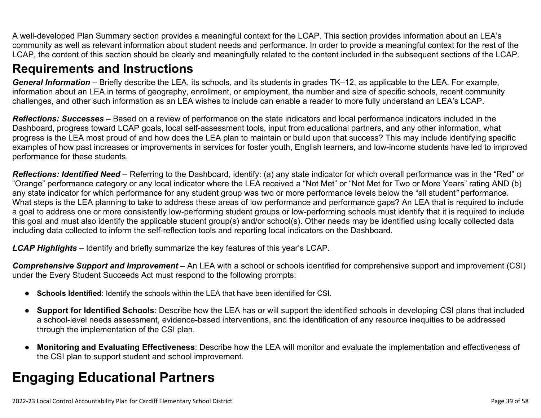A well-developed Plan Summary section provides a meaningful context for the LCAP. This section provides information about an LEA's community as well as relevant information about student needs and performance. In order to provide a meaningful context for the rest of the LCAP, the content of this section should be clearly and meaningfully related to the content included in the subsequent sections of the LCAP.

## **Requirements and Instructions**

*General Information* – Briefly describe the LEA, its schools, and its students in grades TK–12, as applicable to the LEA. For example, information about an LEA in terms of geography, enrollment, or employment, the number and size of specific schools, recent community challenges, and other such information as an LEA wishes to include can enable a reader to more fully understand an LEA's LCAP.

*Reflections: Successes* – Based on a review of performance on the state indicators and local performance indicators included in the Dashboard, progress toward LCAP goals, local self-assessment tools, input from educational partners, and any other information, what progress is the LEA most proud of and how does the LEA plan to maintain or build upon that success? This may include identifying specific examples of how past increases or improvements in services for foster youth, English learners, and low-income students have led to improved performance for these students.

*Reflections: Identified Need* – Referring to the Dashboard, identify: (a) any state indicator for which overall performance was in the "Red" or "Orange" performance category or any local indicator where the LEA received a "Not Met" or "Not Met for Two or More Years" rating AND (b) any state indicator for which performance for any student group was two or more performance levels below the "all student*"* performance. What steps is the LEA planning to take to address these areas of low performance and performance gaps? An LEA that is required to include a goal to address one or more consistently low-performing student groups or low-performing schools must identify that it is required to include this goal and must also identify the applicable student group(s) and/or school(s). Other needs may be identified using locally collected data including data collected to inform the self-reflection tools and reporting local indicators on the Dashboard.

*LCAP Highlights* – Identify and briefly summarize the key features of this year's LCAP.

*Comprehensive Support and Improvement* – An LEA with a school or schools identified for comprehensive support and improvement (CSI) under the Every Student Succeeds Act must respond to the following prompts:

- **Schools Identified**: Identify the schools within the LEA that have been identified for CSI.
- **Support for Identified Schools**: Describe how the LEA has or will support the identified schools in developing CSI plans that included a school-level needs assessment, evidence-based interventions, and the identification of any resource inequities to be addressed through the implementation of the CSI plan.
- **Monitoring and Evaluating Effectiveness**: Describe how the LEA will monitor and evaluate the implementation and effectiveness of the CSI plan to support student and school improvement.

# **Engaging Educational Partners**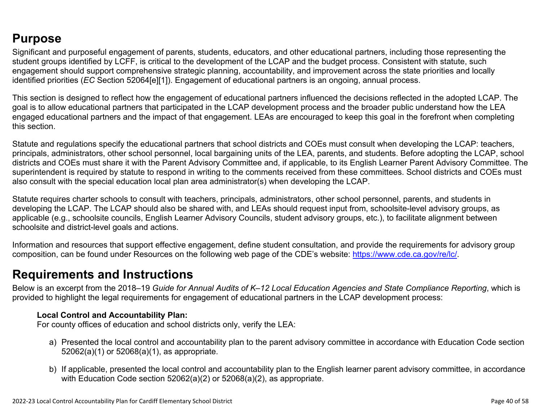## **Purpose**

Significant and purposeful engagement of parents, students, educators, and other educational partners, including those representing the student groups identified by LCFF, is critical to the development of the LCAP and the budget process. Consistent with statute, such engagement should support comprehensive strategic planning, accountability, and improvement across the state priorities and locally identified priorities (*EC* Section 52064[e][1]). Engagement of educational partners is an ongoing, annual process.

This section is designed to reflect how the engagement of educational partners influenced the decisions reflected in the adopted LCAP. The goal is to allow educational partners that participated in the LCAP development process and the broader public understand how the LEA engaged educational partners and the impact of that engagement. LEAs are encouraged to keep this goal in the forefront when completing this section.

Statute and regulations specify the educational partners that school districts and COEs must consult when developing the LCAP: teachers, principals, administrators, other school personnel, local bargaining units of the LEA, parents, and students. Before adopting the LCAP, school districts and COEs must share it with the Parent Advisory Committee and, if applicable, to its English Learner Parent Advisory Committee. The superintendent is required by statute to respond in writing to the comments received from these committees. School districts and COEs must also consult with the special education local plan area administrator(s) when developing the LCAP.

Statute requires charter schools to consult with teachers, principals, administrators, other school personnel, parents, and students in developing the LCAP. The LCAP should also be shared with, and LEAs should request input from, schoolsite-level advisory groups, as applicable (e.g., schoolsite councils, English Learner Advisory Councils, student advisory groups, etc.), to facilitate alignment between schoolsite and district-level goals and actions.

Information and resources that support effective engagement, define student consultation, and provide the requirements for advisory group composition, can be found under Resources on the following web page of the CDE's website: <https://www.cde.ca.gov/re/lc/>.

## **Requirements and Instructions**

Below is an excerpt from the 2018–19 *Guide for Annual Audits of K–12 Local Education Agencies and State Compliance Reporting*, which is provided to highlight the legal requirements for engagement of educational partners in the LCAP development process:

### **Local Control and Accountability Plan:**

For county offices of education and school districts only, verify the LEA:

- a) Presented the local control and accountability plan to the parent advisory committee in accordance with Education Code section 52062(a)(1) or 52068(a)(1), as appropriate.
- b) If applicable, presented the local control and accountability plan to the English learner parent advisory committee, in accordance with Education Code section 52062(a)(2) or 52068(a)(2), as appropriate.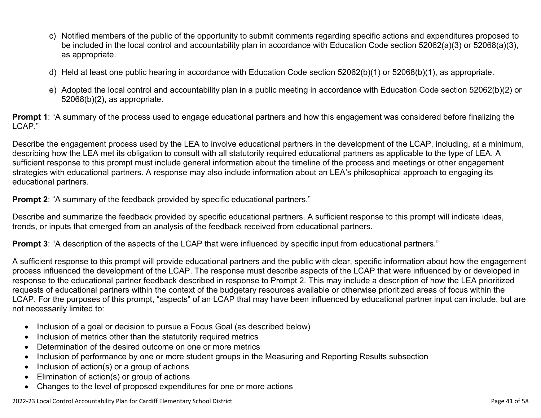- c) Notified members of the public of the opportunity to submit comments regarding specific actions and expenditures proposed to be included in the local control and accountability plan in accordance with Education Code section 52062(a)(3) or 52068(a)(3), as appropriate.
- d) Held at least one public hearing in accordance with Education Code section 52062(b)(1) or 52068(b)(1), as appropriate.
- e) Adopted the local control and accountability plan in a public meeting in accordance with Education Code section 52062(b)(2) or 52068(b)(2), as appropriate.

**Prompt 1**: "A summary of the process used to engage educational partners and how this engagement was considered before finalizing the LCAP."

Describe the engagement process used by the LEA to involve educational partners in the development of the LCAP, including, at a minimum, describing how the LEA met its obligation to consult with all statutorily required educational partners as applicable to the type of LEA. A sufficient response to this prompt must include general information about the timeline of the process and meetings or other engagement strategies with educational partners. A response may also include information about an LEA's philosophical approach to engaging its educational partners.

**Prompt 2:** "A summary of the feedback provided by specific educational partners."

Describe and summarize the feedback provided by specific educational partners. A sufficient response to this prompt will indicate ideas, trends, or inputs that emerged from an analysis of the feedback received from educational partners.

**Prompt 3**: "A description of the aspects of the LCAP that were influenced by specific input from educational partners."

A sufficient response to this prompt will provide educational partners and the public with clear, specific information about how the engagement process influenced the development of the LCAP. The response must describe aspects of the LCAP that were influenced by or developed in response to the educational partner feedback described in response to Prompt 2. This may include a description of how the LEA prioritized requests of educational partners within the context of the budgetary resources available or otherwise prioritized areas of focus within the LCAP. For the purposes of this prompt, "aspects" of an LCAP that may have been influenced by educational partner input can include, but are not necessarily limited to:

- Inclusion of a goal or decision to pursue a Focus Goal (as described below)
- Inclusion of metrics other than the statutorily required metrics
- Determination of the desired outcome on one or more metrics
- Inclusion of performance by one or more student groups in the Measuring and Reporting Results subsection
- Inclusion of action(s) or a group of actions
- Elimination of action(s) or group of actions
- Changes to the level of proposed expenditures for one or more actions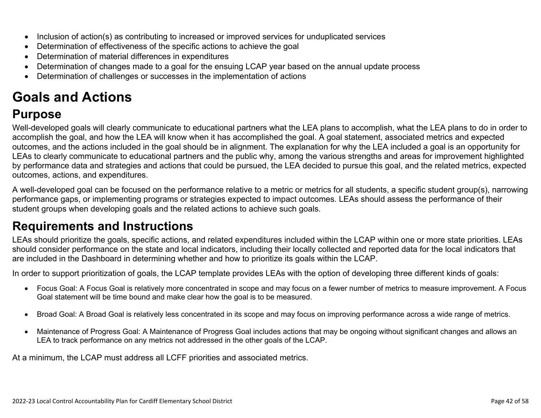- Inclusion of action(s) as contributing to increased or improved services for unduplicated services
- Determination of effectiveness of the specific actions to achieve the goal
- Determination of material differences in expenditures
- Determination of changes made to a goal for the ensuing LCAP year based on the annual update process
- Determination of challenges or successes in the implementation of actions

# **Goals and Actions**

# **Purpose**

Well-developed goals will clearly communicate to educational partners what the LEA plans to accomplish, what the LEA plans to do in order to accomplish the goal, and how the LEA will know when it has accomplished the goal. A goal statement, associated metrics and expected outcomes, and the actions included in the goal should be in alignment. The explanation for why the LEA included a goal is an opportunity for LEAs to clearly communicate to educational partners and the public why, among the various strengths and areas for improvement highlighted by performance data and strategies and actions that could be pursued, the LEA decided to pursue this goal, and the related metrics, expected outcomes, actions, and expenditures.

A well-developed goal can be focused on the performance relative to a metric or metrics for all students, a specific student group(s), narrowing performance gaps, or implementing programs or strategies expected to impact outcomes. LEAs should assess the performance of their student groups when developing goals and the related actions to achieve such goals.

# **Requirements and Instructions**

LEAs should prioritize the goals, specific actions, and related expenditures included within the LCAP within one or more state priorities. LEAs should consider performance on the state and local indicators, including their locally collected and reported data for the local indicators that are included in the Dashboard in determining whether and how to prioritize its goals within the LCAP.

In order to support prioritization of goals, the LCAP template provides LEAs with the option of developing three different kinds of goals:

- Focus Goal: A Focus Goal is relatively more concentrated in scope and may focus on a fewer number of metrics to measure improvement. A Focus Goal statement will be time bound and make clear how the goal is to be measured.
- Broad Goal: A Broad Goal is relatively less concentrated in its scope and may focus on improving performance across a wide range of metrics.
- Maintenance of Progress Goal: A Maintenance of Progress Goal includes actions that may be ongoing without significant changes and allows an LEA to track performance on any metrics not addressed in the other goals of the LCAP.

At a minimum, the LCAP must address all LCFF priorities and associated metrics.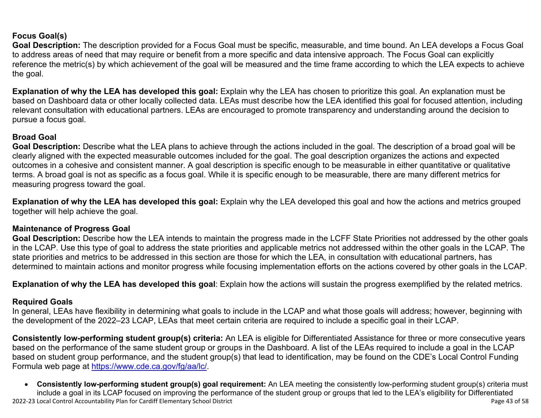### **Focus Goal(s)**

**Goal Description:** The description provided for a Focus Goal must be specific, measurable, and time bound. An LEA develops a Focus Goal to address areas of need that may require or benefit from a more specific and data intensive approach. The Focus Goal can explicitly reference the metric(s) by which achievement of the goal will be measured and the time frame according to which the LEA expects to achieve the goal.

**Explanation of why the LEA has developed this goal:** Explain why the LEA has chosen to prioritize this goal. An explanation must be based on Dashboard data or other locally collected data. LEAs must describe how the LEA identified this goal for focused attention, including relevant consultation with educational partners. LEAs are encouraged to promote transparency and understanding around the decision to pursue a focus goal.

### **Broad Goal**

Goal Description: Describe what the LEA plans to achieve through the actions included in the goal. The description of a broad goal will be clearly aligned with the expected measurable outcomes included for the goal. The goal description organizes the actions and expected outcomes in a cohesive and consistent manner. A goal description is specific enough to be measurable in either quantitative or qualitative terms. A broad goal is not as specific as a focus goal. While it is specific enough to be measurable, there are many different metrics for measuring progress toward the goal.

**Explanation of why the LEA has developed this goal:** Explain why the LEA developed this goal and how the actions and metrics grouped together will help achieve the goal.

#### **Maintenance of Progress Goal**

**Goal Description:** Describe how the LEA intends to maintain the progress made in the LCFF State Priorities not addressed by the other goals in the LCAP. Use this type of goal to address the state priorities and applicable metrics not addressed within the other goals in the LCAP. The state priorities and metrics to be addressed in this section are those for which the LEA, in consultation with educational partners, has determined to maintain actions and monitor progress while focusing implementation efforts on the actions covered by other goals in the LCAP.

**Explanation of why the LEA has developed this goal**: Explain how the actions will sustain the progress exemplified by the related metrics.

#### **Required Goals**

In general, LEAs have flexibility in determining what goals to include in the LCAP and what those goals will address; however, beginning with the development of the 2022–23 LCAP, LEAs that meet certain criteria are required to include a specific goal in their LCAP.

**Consistently low-performing student group(s) criteria:** An LEA is eligible for Differentiated Assistance for three or more consecutive years based on the performance of the same student group or groups in the Dashboard. A list of the LEAs required to include a goal in the LCAP based on student group performance, and the student group(s) that lead to identification, may be found on the CDE's Local Control Funding Formula web page at [https://www.cde.ca.gov/fg/aa/lc/.](https://www.cde.ca.gov/fg/aa/lc/)

2022-23 Local Control Accountability Plan for Cardiff Elementary School District Page 43 of 58 • **Consistently low-performing student group(s) goal requirement:** An LEA meeting the consistently low-performing student group(s) criteria must include a goal in its LCAP focused on improving the performance of the student group or groups that led to the LEA's eligibility for Differentiated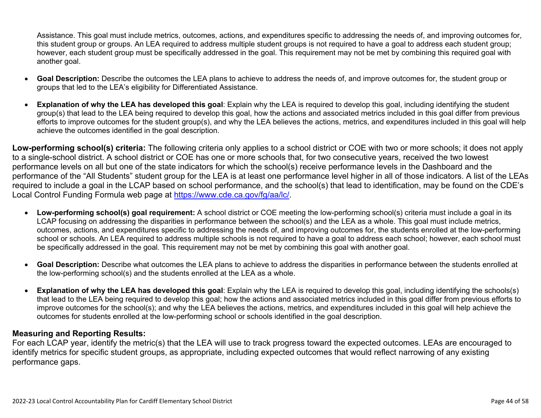Assistance. This goal must include metrics, outcomes, actions, and expenditures specific to addressing the needs of, and improving outcomes for, this student group or groups. An LEA required to address multiple student groups is not required to have a goal to address each student group; however, each student group must be specifically addressed in the goal. This requirement may not be met by combining this required goal with another goal.

- **Goal Description:** Describe the outcomes the LEA plans to achieve to address the needs of, and improve outcomes for, the student group or groups that led to the LEA's eligibility for Differentiated Assistance.
- **Explanation of why the LEA has developed this goal**: Explain why the LEA is required to develop this goal, including identifying the student group(s) that lead to the LEA being required to develop this goal, how the actions and associated metrics included in this goal differ from previous efforts to improve outcomes for the student group(s), and why the LEA believes the actions, metrics, and expenditures included in this goal will help achieve the outcomes identified in the goal description.

**Low-performing school(s) criteria:** The following criteria only applies to a school district or COE with two or more schools; it does not apply to a single-school district. A school district or COE has one or more schools that, for two consecutive years, received the two lowest performance levels on all but one of the state indicators for which the school(s) receive performance levels in the Dashboard and the performance of the "All Students" student group for the LEA is at least one performance level higher in all of those indicators. A list of the LEAs required to include a goal in the LCAP based on school performance, and the school(s) that lead to identification, may be found on the CDE's Local Control Funding Formula web page at [https://www.cde.ca.gov/fg/aa/lc/.](https://www.cde.ca.gov/fg/aa/lc/)

- **Low-performing school(s) goal requirement:** A school district or COE meeting the low-performing school(s) criteria must include a goal in its LCAP focusing on addressing the disparities in performance between the school(s) and the LEA as a whole. This goal must include metrics, outcomes, actions, and expenditures specific to addressing the needs of, and improving outcomes for, the students enrolled at the low-performing school or schools. An LEA required to address multiple schools is not required to have a goal to address each school; however, each school must be specifically addressed in the goal. This requirement may not be met by combining this goal with another goal.
- **Goal Description:** Describe what outcomes the LEA plans to achieve to address the disparities in performance between the students enrolled at the low-performing school(s) and the students enrolled at the LEA as a whole.
- **Explanation of why the LEA has developed this goal**: Explain why the LEA is required to develop this goal, including identifying the schools(s) that lead to the LEA being required to develop this goal; how the actions and associated metrics included in this goal differ from previous efforts to improve outcomes for the school(s); and why the LEA believes the actions, metrics, and expenditures included in this goal will help achieve the outcomes for students enrolled at the low-performing school or schools identified in the goal description.

### **Measuring and Reporting Results:**

For each LCAP year, identify the metric(s) that the LEA will use to track progress toward the expected outcomes. LEAs are encouraged to identify metrics for specific student groups, as appropriate, including expected outcomes that would reflect narrowing of any existing performance gaps.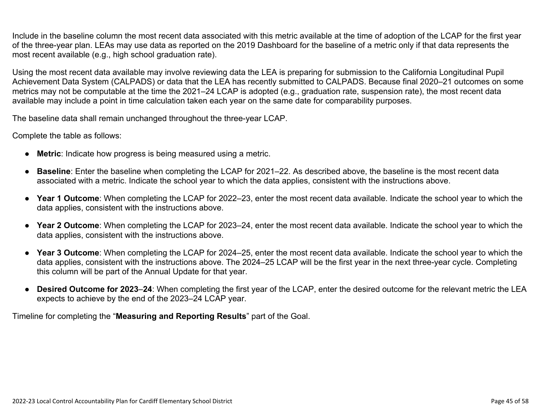Include in the baseline column the most recent data associated with this metric available at the time of adoption of the LCAP for the first year of the three-year plan. LEAs may use data as reported on the 2019 Dashboard for the baseline of a metric only if that data represents the most recent available (e.g., high school graduation rate).

Using the most recent data available may involve reviewing data the LEA is preparing for submission to the California Longitudinal Pupil Achievement Data System (CALPADS) or data that the LEA has recently submitted to CALPADS. Because final 2020–21 outcomes on some metrics may not be computable at the time the 2021–24 LCAP is adopted (e.g., graduation rate, suspension rate), the most recent data available may include a point in time calculation taken each year on the same date for comparability purposes.

The baseline data shall remain unchanged throughout the three-year LCAP.

Complete the table as follows:

- **Metric**: Indicate how progress is being measured using a metric.
- **Baseline**: Enter the baseline when completing the LCAP for 2021–22. As described above, the baseline is the most recent data associated with a metric. Indicate the school year to which the data applies, consistent with the instructions above.
- **Year 1 Outcome**: When completing the LCAP for 2022–23, enter the most recent data available. Indicate the school year to which the data applies, consistent with the instructions above.
- **Year 2 Outcome**: When completing the LCAP for 2023–24, enter the most recent data available. Indicate the school year to which the data applies, consistent with the instructions above.
- **Year 3 Outcome**: When completing the LCAP for 2024–25, enter the most recent data available. Indicate the school year to which the data applies, consistent with the instructions above. The 2024–25 LCAP will be the first year in the next three-year cycle. Completing this column will be part of the Annual Update for that year.
- **Desired Outcome for 2023**–**24**: When completing the first year of the LCAP, enter the desired outcome for the relevant metric the LEA expects to achieve by the end of the 2023–24 LCAP year.

Timeline for completing the "**Measuring and Reporting Results**" part of the Goal.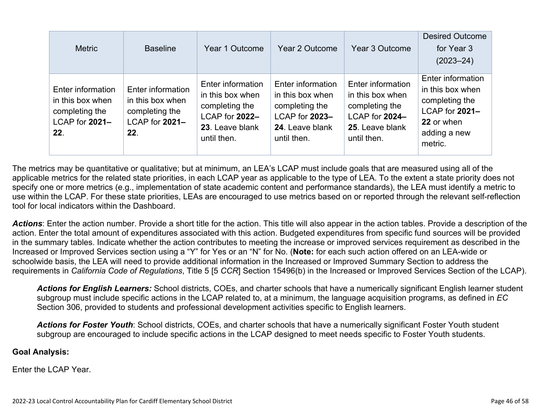| <b>Metric</b>                                                                    | <b>Baseline</b>                                                                  | Year 1 Outcome                                                                                              | Year 2 Outcome                                                                                              | Year 3 Outcome                                                                                              | <b>Desired Outcome</b><br>for Year 3<br>$(2023 - 24)$                                                              |
|----------------------------------------------------------------------------------|----------------------------------------------------------------------------------|-------------------------------------------------------------------------------------------------------------|-------------------------------------------------------------------------------------------------------------|-------------------------------------------------------------------------------------------------------------|--------------------------------------------------------------------------------------------------------------------|
| Enter information<br>in this box when<br>completing the<br>LCAP for 2021-<br>22. | Enter information<br>in this box when<br>completing the<br>LCAP for 2021-<br>22. | Enter information<br>in this box when<br>completing the<br>LCAP for 2022-<br>23. Leave blank<br>until then. | Enter information<br>in this box when<br>completing the<br>LCAP for 2023-<br>24. Leave blank<br>until then. | Enter information<br>in this box when<br>completing the<br>LCAP for 2024-<br>25. Leave blank<br>until then. | Enter information<br>in this box when<br>completing the<br>LCAP for 2021-<br>22 or when<br>adding a new<br>metric. |

The metrics may be quantitative or qualitative; but at minimum, an LEA's LCAP must include goals that are measured using all of the applicable metrics for the related state priorities, in each LCAP year as applicable to the type of LEA. To the extent a state priority does not specify one or more metrics (e.g., implementation of state academic content and performance standards), the LEA must identify a metric to use within the LCAP. For these state priorities, LEAs are encouraged to use metrics based on or reported through the relevant self-reflection tool for local indicators within the Dashboard.

*Actions*: Enter the action number. Provide a short title for the action. This title will also appear in the action tables. Provide a description of the action. Enter the total amount of expenditures associated with this action. Budgeted expenditures from specific fund sources will be provided in the summary tables. Indicate whether the action contributes to meeting the increase or improved services requirement as described in the Increased or Improved Services section using a "Y" for Yes or an "N" for No. (**Note:** for each such action offered on an LEA-wide or schoolwide basis, the LEA will need to provide additional information in the Increased or Improved Summary Section to address the requirements in *California Code of Regulations*, Title 5 [5 *CCR*] Section 15496(b) in the Increased or Improved Services Section of the LCAP).

*Actions for English Learners:* School districts, COEs, and charter schools that have a numerically significant English learner student subgroup must include specific actions in the LCAP related to, at a minimum, the language acquisition programs, as defined in *EC* Section 306, provided to students and professional development activities specific to English learners.

*Actions for Foster Youth*: School districts, COEs, and charter schools that have a numerically significant Foster Youth student subgroup are encouraged to include specific actions in the LCAP designed to meet needs specific to Foster Youth students.

#### **Goal Analysis:**

Enter the LCAP Year.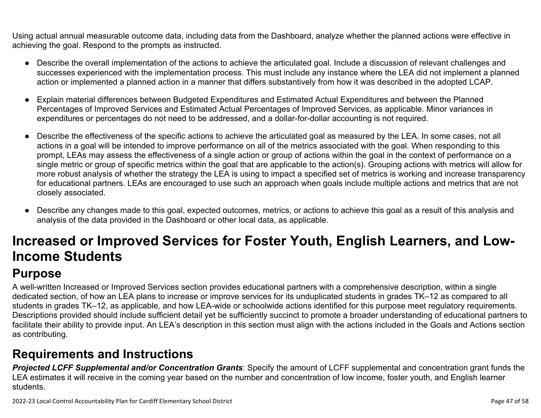Using actual annual measurable outcome data, including data from the Dashboard, analyze whether the planned actions were effective in achieving the goal. Respond to the prompts as instructed.

- Describe the overall implementation of the actions to achieve the articulated goal. Include a discussion of relevant challenges and successes experienced with the implementation process. This must include any instance where the LEA did not implement a planned action or implemented a planned action in a manner that differs substantively from how it was described in the adopted LCAP.
- Explain material differences between Budgeted Expenditures and Estimated Actual Expenditures and between the Planned Percentages of Improved Services and Estimated Actual Percentages of Improved Services, as applicable. Minor variances in expenditures or percentages do not need to be addressed, and a dollar-for-dollar accounting is not required.
- Describe the effectiveness of the specific actions to achieve the articulated goal as measured by the LEA. In some cases, not all actions in a goal will be intended to improve performance on all of the metrics associated with the goal. When responding to this prompt, LEAs may assess the effectiveness of a single action or group of actions within the goal in the context of performance on a single metric or group of specific metrics within the goal that are applicable to the action(s). Grouping actions with metrics will allow for more robust analysis of whether the strategy the LEA is using to impact a specified set of metrics is working and increase transparency for educational partners. LEAs are encouraged to use such an approach when goals include multiple actions and metrics that are not closely associated.
- Describe any changes made to this goal, expected outcomes, metrics, or actions to achieve this goal as a result of this analysis and analysis of the data provided in the Dashboard or other local data, as applicable.

# **Increased or Improved Services for Foster Youth, English Learners, and Low-Income Students**

# **Purpose**

A well-written Increased or Improved Services section provides educational partners with a comprehensive description, within a single dedicated section, of how an LEA plans to increase or improve services for its unduplicated students in grades TK–12 as compared to all students in grades TK–12, as applicable, and how LEA-wide or schoolwide actions identified for this purpose meet regulatory requirements. Descriptions provided should include sufficient detail yet be sufficiently succinct to promote a broader understanding of educational partners to facilitate their ability to provide input. An LEA's description in this section must align with the actions included in the Goals and Actions section as contributing.

# **Requirements and Instructions**

*Projected LCFF Supplemental and/or Concentration Grants*: Specify the amount of LCFF supplemental and concentration grant funds the LEA estimates it will receive in the coming year based on the number and concentration of low income, foster youth, and English learner students.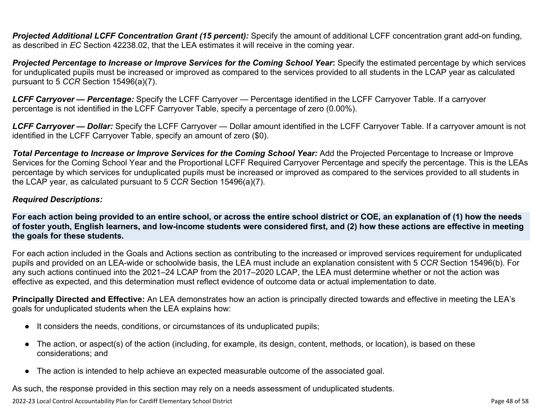**Projected Additional LCFF Concentration Grant (15 percent):** Specify the amount of additional LCFF concentration grant add-on funding, as described in *EC* Section 42238.02, that the LEA estimates it will receive in the coming year.

*Projected Percentage to Increase or Improve Services for the Coming School Year***:** Specify the estimated percentage by which services for unduplicated pupils must be increased or improved as compared to the services provided to all students in the LCAP year as calculated pursuant to 5 *CCR* Section 15496(a)(7).

*LCFF Carryover — Percentage:* Specify the LCFF Carryover — Percentage identified in the LCFF Carryover Table. If a carryover percentage is not identified in the LCFF Carryover Table, specify a percentage of zero (0.00%).

*LCFF Carryover — Dollar:* Specify the LCFF Carryover — Dollar amount identified in the LCFF Carryover Table. If a carryover amount is not identified in the LCFF Carryover Table, specify an amount of zero (\$0).

**Total Percentage to Increase or Improve Services for the Coming School Year:** Add the Projected Percentage to Increase or Improve Services for the Coming School Year and the Proportional LCFF Required Carryover Percentage and specify the percentage. This is the LEAs percentage by which services for unduplicated pupils must be increased or improved as compared to the services provided to all students in the LCAP year, as calculated pursuant to 5 *CCR* Section 15496(a)(7).

### *Required Descriptions:*

**For each action being provided to an entire school, or across the entire school district or COE, an explanation of (1) how the needs of foster youth, English learners, and low-income students were considered first, and (2) how these actions are effective in meeting the goals for these students.**

For each action included in the Goals and Actions section as contributing to the increased or improved services requirement for unduplicated pupils and provided on an LEA-wide or schoolwide basis, the LEA must include an explanation consistent with 5 *CCR* Section 15496(b). For any such actions continued into the 2021–24 LCAP from the 2017–2020 LCAP, the LEA must determine whether or not the action was effective as expected, and this determination must reflect evidence of outcome data or actual implementation to date.

**Principally Directed and Effective:** An LEA demonstrates how an action is principally directed towards and effective in meeting the LEA's goals for unduplicated students when the LEA explains how:

- It considers the needs, conditions, or circumstances of its unduplicated pupils;
- The action, or aspect(s) of the action (including, for example, its design, content, methods, or location), is based on these considerations; and
- The action is intended to help achieve an expected measurable outcome of the associated goal.

As such, the response provided in this section may rely on a needs assessment of unduplicated students.

2022-23 Local Control Accountability Plan for Cardiff Elementary School District **Page 48 of 58** Page 48 of 58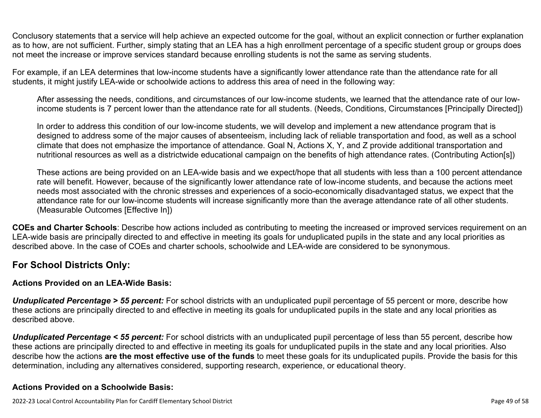Conclusory statements that a service will help achieve an expected outcome for the goal, without an explicit connection or further explanation as to how, are not sufficient. Further, simply stating that an LEA has a high enrollment percentage of a specific student group or groups does not meet the increase or improve services standard because enrolling students is not the same as serving students.

For example, if an LEA determines that low-income students have a significantly lower attendance rate than the attendance rate for all students, it might justify LEA-wide or schoolwide actions to address this area of need in the following way:

After assessing the needs, conditions, and circumstances of our low-income students, we learned that the attendance rate of our lowincome students is 7 percent lower than the attendance rate for all students. (Needs, Conditions, Circumstances [Principally Directed])

In order to address this condition of our low-income students, we will develop and implement a new attendance program that is designed to address some of the major causes of absenteeism, including lack of reliable transportation and food, as well as a school climate that does not emphasize the importance of attendance. Goal N, Actions X, Y, and Z provide additional transportation and nutritional resources as well as a districtwide educational campaign on the benefits of high attendance rates. (Contributing Action[s])

These actions are being provided on an LEA-wide basis and we expect/hope that all students with less than a 100 percent attendance rate will benefit. However, because of the significantly lower attendance rate of low-income students, and because the actions meet needs most associated with the chronic stresses and experiences of a socio-economically disadvantaged status, we expect that the attendance rate for our low-income students will increase significantly more than the average attendance rate of all other students. (Measurable Outcomes [Effective In])

**COEs and Charter Schools**: Describe how actions included as contributing to meeting the increased or improved services requirement on an LEA-wide basis are principally directed to and effective in meeting its goals for unduplicated pupils in the state and any local priorities as described above. In the case of COEs and charter schools, schoolwide and LEA-wide are considered to be synonymous.

### **For School Districts Only:**

### **Actions Provided on an LEA-Wide Basis:**

*Unduplicated Percentage > 55 percent:* For school districts with an unduplicated pupil percentage of 55 percent or more, describe how these actions are principally directed to and effective in meeting its goals for unduplicated pupils in the state and any local priorities as described above.

*Unduplicated Percentage < 55 percent:* For school districts with an unduplicated pupil percentage of less than 55 percent, describe how these actions are principally directed to and effective in meeting its goals for unduplicated pupils in the state and any local priorities. Also describe how the actions **are the most effective use of the funds** to meet these goals for its unduplicated pupils. Provide the basis for this determination, including any alternatives considered, supporting research, experience, or educational theory.

### **Actions Provided on a Schoolwide Basis:**

2022-23 Local Control Accountability Plan for Cardiff Elementary School District Page 49 of 58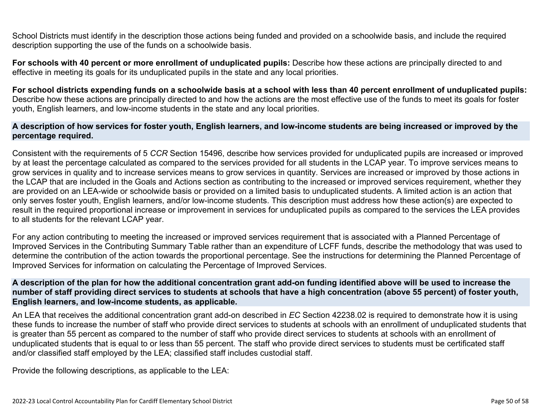School Districts must identify in the description those actions being funded and provided on a schoolwide basis, and include the required description supporting the use of the funds on a schoolwide basis.

**For schools with 40 percent or more enrollment of unduplicated pupils:** Describe how these actions are principally directed to and effective in meeting its goals for its unduplicated pupils in the state and any local priorities.

**For school districts expending funds on a schoolwide basis at a school with less than 40 percent enrollment of unduplicated pupils:** Describe how these actions are principally directed to and how the actions are the most effective use of the funds to meet its goals for foster youth, English learners, and low-income students in the state and any local priorities.

#### **A description of how services for foster youth, English learners, and low-income students are being increased or improved by the percentage required.**

Consistent with the requirements of 5 *CCR* Section 15496, describe how services provided for unduplicated pupils are increased or improved by at least the percentage calculated as compared to the services provided for all students in the LCAP year. To improve services means to grow services in quality and to increase services means to grow services in quantity. Services are increased or improved by those actions in the LCAP that are included in the Goals and Actions section as contributing to the increased or improved services requirement, whether they are provided on an LEA-wide or schoolwide basis or provided on a limited basis to unduplicated students. A limited action is an action that only serves foster youth, English learners, and/or low-income students. This description must address how these action(s) are expected to result in the required proportional increase or improvement in services for unduplicated pupils as compared to the services the LEA provides to all students for the relevant LCAP year.

For any action contributing to meeting the increased or improved services requirement that is associated with a Planned Percentage of Improved Services in the Contributing Summary Table rather than an expenditure of LCFF funds, describe the methodology that was used to determine the contribution of the action towards the proportional percentage. See the instructions for determining the Planned Percentage of Improved Services for information on calculating the Percentage of Improved Services.

#### **A description of the plan for how the additional concentration grant add-on funding identified above will be used to increase the number of staff providing direct services to students at schools that have a high concentration (above 55 percent) of foster youth, English learners, and low-income students, as applicable.**

An LEA that receives the additional concentration grant add-on described in *EC* Section 42238.02 is required to demonstrate how it is using these funds to increase the number of staff who provide direct services to students at schools with an enrollment of unduplicated students that is greater than 55 percent as compared to the number of staff who provide direct services to students at schools with an enrollment of unduplicated students that is equal to or less than 55 percent. The staff who provide direct services to students must be certificated staff and/or classified staff employed by the LEA; classified staff includes custodial staff.

Provide the following descriptions, as applicable to the LEA: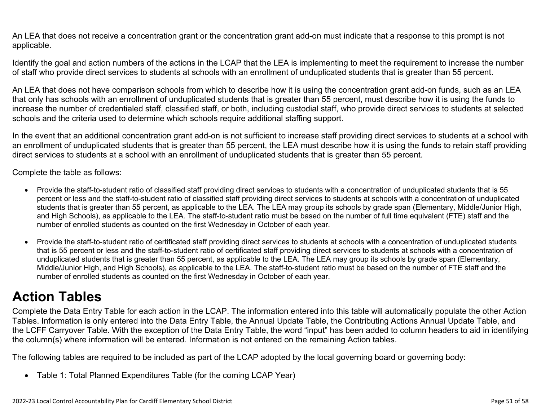An LEA that does not receive a concentration grant or the concentration grant add-on must indicate that a response to this prompt is not applicable.

Identify the goal and action numbers of the actions in the LCAP that the LEA is implementing to meet the requirement to increase the number of staff who provide direct services to students at schools with an enrollment of unduplicated students that is greater than 55 percent.

An LEA that does not have comparison schools from which to describe how it is using the concentration grant add-on funds, such as an LEA that only has schools with an enrollment of unduplicated students that is greater than 55 percent, must describe how it is using the funds to increase the number of credentialed staff, classified staff, or both, including custodial staff, who provide direct services to students at selected schools and the criteria used to determine which schools require additional staffing support.

In the event that an additional concentration grant add-on is not sufficient to increase staff providing direct services to students at a school with an enrollment of unduplicated students that is greater than 55 percent, the LEA must describe how it is using the funds to retain staff providing direct services to students at a school with an enrollment of unduplicated students that is greater than 55 percent.

Complete the table as follows:

- Provide the staff-to-student ratio of classified staff providing direct services to students with a concentration of unduplicated students that is 55 percent or less and the staff-to-student ratio of classified staff providing direct services to students at schools with a concentration of unduplicated students that is greater than 55 percent, as applicable to the LEA. The LEA may group its schools by grade span (Elementary, Middle/Junior High, and High Schools), as applicable to the LEA. The staff-to-student ratio must be based on the number of full time equivalent (FTE) staff and the number of enrolled students as counted on the first Wednesday in October of each year.
- Provide the staff-to-student ratio of certificated staff providing direct services to students at schools with a concentration of unduplicated students that is 55 percent or less and the staff-to-student ratio of certificated staff providing direct services to students at schools with a concentration of unduplicated students that is greater than 55 percent, as applicable to the LEA. The LEA may group its schools by grade span (Elementary, Middle/Junior High, and High Schools), as applicable to the LEA. The staff-to-student ratio must be based on the number of FTE staff and the number of enrolled students as counted on the first Wednesday in October of each year.

# **Action Tables**

Complete the Data Entry Table for each action in the LCAP. The information entered into this table will automatically populate the other Action Tables. Information is only entered into the Data Entry Table, the Annual Update Table, the Contributing Actions Annual Update Table, and the LCFF Carryover Table. With the exception of the Data Entry Table, the word "input" has been added to column headers to aid in identifying the column(s) where information will be entered. Information is not entered on the remaining Action tables.

The following tables are required to be included as part of the LCAP adopted by the local governing board or governing body:

• Table 1: Total Planned Expenditures Table (for the coming LCAP Year)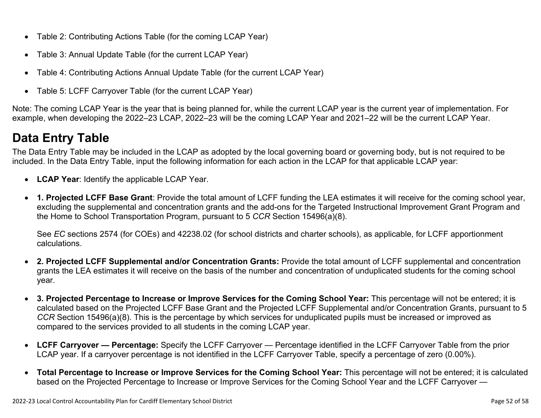- Table 2: Contributing Actions Table (for the coming LCAP Year)
- Table 3: Annual Update Table (for the current LCAP Year)
- Table 4: Contributing Actions Annual Update Table (for the current LCAP Year)
- Table 5: LCFF Carryover Table (for the current LCAP Year)

Note: The coming LCAP Year is the year that is being planned for, while the current LCAP year is the current year of implementation. For example, when developing the 2022–23 LCAP, 2022–23 will be the coming LCAP Year and 2021–22 will be the current LCAP Year.

# **Data Entry Table**

The Data Entry Table may be included in the LCAP as adopted by the local governing board or governing body, but is not required to be included. In the Data Entry Table, input the following information for each action in the LCAP for that applicable LCAP year:

- **LCAP Year**: Identify the applicable LCAP Year.
- **1. Projected LCFF Base Grant**: Provide the total amount of LCFF funding the LEA estimates it will receive for the coming school year, excluding the supplemental and concentration grants and the add-ons for the Targeted Instructional Improvement Grant Program and the Home to School Transportation Program, pursuant to 5 *CCR* Section 15496(a)(8).

See *EC* sections 2574 (for COEs) and 42238.02 (for school districts and charter schools), as applicable, for LCFF apportionment calculations.

- **2. Projected LCFF Supplemental and/or Concentration Grants:** Provide the total amount of LCFF supplemental and concentration grants the LEA estimates it will receive on the basis of the number and concentration of unduplicated students for the coming school year.
- **3. Projected Percentage to Increase or Improve Services for the Coming School Year:** This percentage will not be entered; it is calculated based on the Projected LCFF Base Grant and the Projected LCFF Supplemental and/or Concentration Grants, pursuant to 5 *CCR* Section 15496(a)(8). This is the percentage by which services for unduplicated pupils must be increased or improved as compared to the services provided to all students in the coming LCAP year.
- **LCFF Carryover Percentage:** Specify the LCFF Carryover Percentage identified in the LCFF Carryover Table from the prior LCAP year. If a carryover percentage is not identified in the LCFF Carryover Table, specify a percentage of zero (0.00%).
- **Total Percentage to Increase or Improve Services for the Coming School Year:** This percentage will not be entered; it is calculated based on the Projected Percentage to Increase or Improve Services for the Coming School Year and the LCFF Carryover —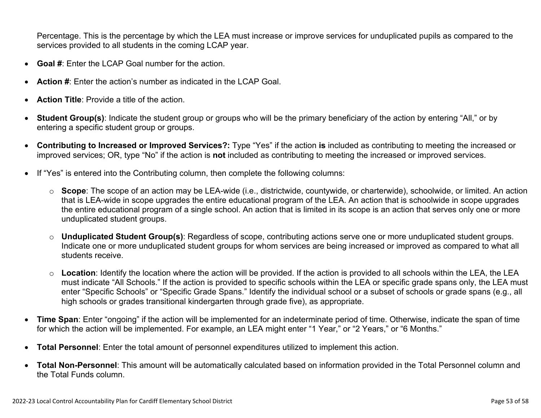Percentage. This is the percentage by which the LEA must increase or improve services for unduplicated pupils as compared to the services provided to all students in the coming LCAP year.

- **Goal #**: Enter the LCAP Goal number for the action.
- **Action #**: Enter the action's number as indicated in the LCAP Goal.
- **Action Title**: Provide a title of the action.
- **Student Group(s)**: Indicate the student group or groups who will be the primary beneficiary of the action by entering "All," or by entering a specific student group or groups.
- **Contributing to Increased or Improved Services?:** Type "Yes" if the action **is** included as contributing to meeting the increased or improved services; OR, type "No" if the action is **not** included as contributing to meeting the increased or improved services.
- If "Yes" is entered into the Contributing column, then complete the following columns:
	- o **Scope**: The scope of an action may be LEA-wide (i.e., districtwide, countywide, or charterwide), schoolwide, or limited. An action that is LEA-wide in scope upgrades the entire educational program of the LEA. An action that is schoolwide in scope upgrades the entire educational program of a single school. An action that is limited in its scope is an action that serves only one or more unduplicated student groups.
	- o **Unduplicated Student Group(s)**: Regardless of scope, contributing actions serve one or more unduplicated student groups. Indicate one or more unduplicated student groups for whom services are being increased or improved as compared to what all students receive.
	- o **Location**: Identify the location where the action will be provided. If the action is provided to all schools within the LEA, the LEA must indicate "All Schools." If the action is provided to specific schools within the LEA or specific grade spans only, the LEA must enter "Specific Schools" or "Specific Grade Spans." Identify the individual school or a subset of schools or grade spans (e.g., all high schools or grades transitional kindergarten through grade five), as appropriate.
- **Time Span**: Enter "ongoing" if the action will be implemented for an indeterminate period of time. Otherwise, indicate the span of time for which the action will be implemented. For example, an LEA might enter "1 Year," or "2 Years," or "6 Months."
- **Total Personnel**: Enter the total amount of personnel expenditures utilized to implement this action.
- **Total Non-Personnel**: This amount will be automatically calculated based on information provided in the Total Personnel column and the Total Funds column.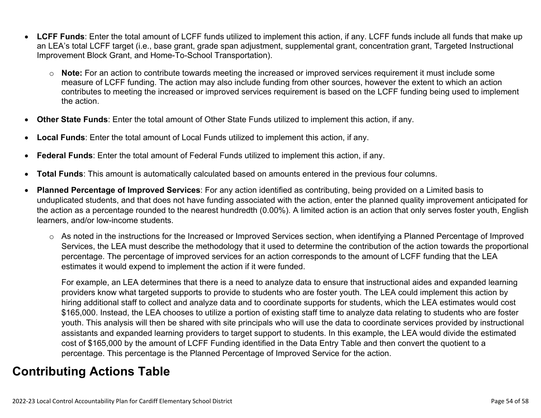- **LCFF Funds**: Enter the total amount of LCFF funds utilized to implement this action, if any. LCFF funds include all funds that make up an LEA's total LCFF target (i.e., base grant, grade span adjustment, supplemental grant, concentration grant, Targeted Instructional Improvement Block Grant, and Home-To-School Transportation).
	- o **Note:** For an action to contribute towards meeting the increased or improved services requirement it must include some measure of LCFF funding. The action may also include funding from other sources, however the extent to which an action contributes to meeting the increased or improved services requirement is based on the LCFF funding being used to implement the action.
- **Other State Funds**: Enter the total amount of Other State Funds utilized to implement this action, if any.
- **Local Funds**: Enter the total amount of Local Funds utilized to implement this action, if any.
- **Federal Funds**: Enter the total amount of Federal Funds utilized to implement this action, if any.
- **Total Funds**: This amount is automatically calculated based on amounts entered in the previous four columns.
- **Planned Percentage of Improved Services**: For any action identified as contributing, being provided on a Limited basis to unduplicated students, and that does not have funding associated with the action, enter the planned quality improvement anticipated for the action as a percentage rounded to the nearest hundredth (0.00%). A limited action is an action that only serves foster youth, English learners, and/or low-income students.
	- o As noted in the instructions for the Increased or Improved Services section, when identifying a Planned Percentage of Improved Services, the LEA must describe the methodology that it used to determine the contribution of the action towards the proportional percentage. The percentage of improved services for an action corresponds to the amount of LCFF funding that the LEA estimates it would expend to implement the action if it were funded.

For example, an LEA determines that there is a need to analyze data to ensure that instructional aides and expanded learning providers know what targeted supports to provide to students who are foster youth. The LEA could implement this action by hiring additional staff to collect and analyze data and to coordinate supports for students, which the LEA estimates would cost \$165,000. Instead, the LEA chooses to utilize a portion of existing staff time to analyze data relating to students who are foster youth. This analysis will then be shared with site principals who will use the data to coordinate services provided by instructional assistants and expanded learning providers to target support to students. In this example, the LEA would divide the estimated cost of \$165,000 by the amount of LCFF Funding identified in the Data Entry Table and then convert the quotient to a percentage. This percentage is the Planned Percentage of Improved Service for the action.

# **Contributing Actions Table**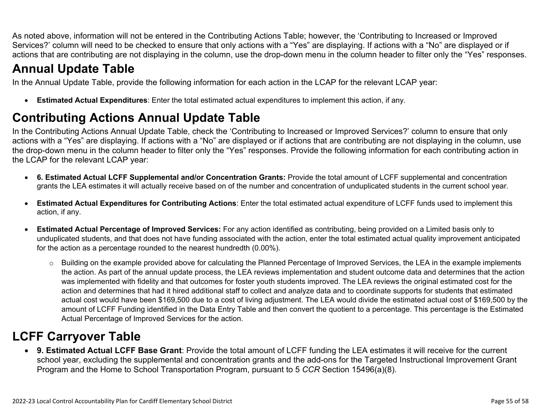As noted above, information will not be entered in the Contributing Actions Table; however, the 'Contributing to Increased or Improved Services?' column will need to be checked to ensure that only actions with a "Yes" are displaying. If actions with a "No" are displayed or if actions that are contributing are not displaying in the column, use the drop-down menu in the column header to filter only the "Yes" responses.

# **Annual Update Table**

In the Annual Update Table, provide the following information for each action in the LCAP for the relevant LCAP year:

• **Estimated Actual Expenditures**: Enter the total estimated actual expenditures to implement this action, if any.

# **Contributing Actions Annual Update Table**

In the Contributing Actions Annual Update Table, check the 'Contributing to Increased or Improved Services?' column to ensure that only actions with a "Yes" are displaying. If actions with a "No" are displayed or if actions that are contributing are not displaying in the column, use the drop-down menu in the column header to filter only the "Yes" responses. Provide the following information for each contributing action in the LCAP for the relevant LCAP year:

- **6. Estimated Actual LCFF Supplemental and/or Concentration Grants:** Provide the total amount of LCFF supplemental and concentration grants the LEA estimates it will actually receive based on of the number and concentration of unduplicated students in the current school year.
- **Estimated Actual Expenditures for Contributing Actions**: Enter the total estimated actual expenditure of LCFF funds used to implement this action, if any.
- **Estimated Actual Percentage of Improved Services:** For any action identified as contributing, being provided on a Limited basis only to unduplicated students, and that does not have funding associated with the action, enter the total estimated actual quality improvement anticipated for the action as a percentage rounded to the nearest hundredth (0.00%).
	- o Building on the example provided above for calculating the Planned Percentage of Improved Services, the LEA in the example implements the action. As part of the annual update process, the LEA reviews implementation and student outcome data and determines that the action was implemented with fidelity and that outcomes for foster youth students improved. The LEA reviews the original estimated cost for the action and determines that had it hired additional staff to collect and analyze data and to coordinate supports for students that estimated actual cost would have been \$169,500 due to a cost of living adjustment. The LEA would divide the estimated actual cost of \$169,500 by the amount of LCFF Funding identified in the Data Entry Table and then convert the quotient to a percentage. This percentage is the Estimated Actual Percentage of Improved Services for the action.

# **LCFF Carryover Table**

• **9. Estimated Actual LCFF Base Grant**: Provide the total amount of LCFF funding the LEA estimates it will receive for the current school year, excluding the supplemental and concentration grants and the add-ons for the Targeted Instructional Improvement Grant Program and the Home to School Transportation Program, pursuant to 5 *CCR* Section 15496(a)(8).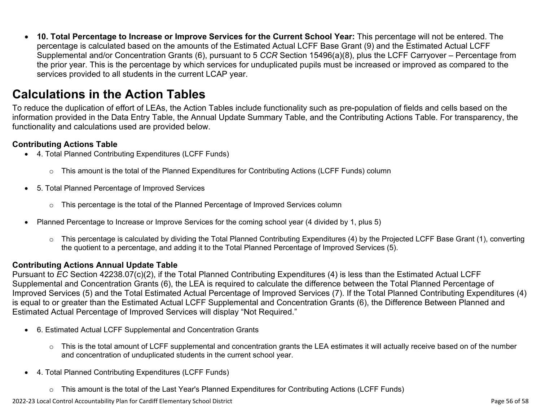• **10. Total Percentage to Increase or Improve Services for the Current School Year:** This percentage will not be entered. The percentage is calculated based on the amounts of the Estimated Actual LCFF Base Grant (9) and the Estimated Actual LCFF Supplemental and/or Concentration Grants (6), pursuant to 5 *CCR* Section 15496(a)(8), plus the LCFF Carryover – Percentage from the prior year. This is the percentage by which services for unduplicated pupils must be increased or improved as compared to the services provided to all students in the current LCAP year.

## **Calculations in the Action Tables**

To reduce the duplication of effort of LEAs, the Action Tables include functionality such as pre-population of fields and cells based on the information provided in the Data Entry Table, the Annual Update Summary Table, and the Contributing Actions Table. For transparency, the functionality and calculations used are provided below.

### **Contributing Actions Table**

- 4. Total Planned Contributing Expenditures (LCFF Funds)
	- $\circ$  This amount is the total of the Planned Expenditures for Contributing Actions (LCFF Funds) column
- 5. Total Planned Percentage of Improved Services
	- $\circ$  This percentage is the total of the Planned Percentage of Improved Services column
- Planned Percentage to Increase or Improve Services for the coming school year (4 divided by 1, plus 5)
	- o This percentage is calculated by dividing the Total Planned Contributing Expenditures (4) by the Projected LCFF Base Grant (1), converting the quotient to a percentage, and adding it to the Total Planned Percentage of Improved Services (5).

### **Contributing Actions Annual Update Table**

Pursuant to *EC* Section 42238.07(c)(2), if the Total Planned Contributing Expenditures (4) is less than the Estimated Actual LCFF Supplemental and Concentration Grants (6), the LEA is required to calculate the difference between the Total Planned Percentage of Improved Services (5) and the Total Estimated Actual Percentage of Improved Services (7). If the Total Planned Contributing Expenditures (4) is equal to or greater than the Estimated Actual LCFF Supplemental and Concentration Grants (6), the Difference Between Planned and Estimated Actual Percentage of Improved Services will display "Not Required."

- 6. Estimated Actual LCFF Supplemental and Concentration Grants
	- o This is the total amount of LCFF supplemental and concentration grants the LEA estimates it will actually receive based on of the number and concentration of unduplicated students in the current school year.
- 4. Total Planned Contributing Expenditures (LCFF Funds)
	- $\circ$  This amount is the total of the Last Year's Planned Expenditures for Contributing Actions (LCFF Funds)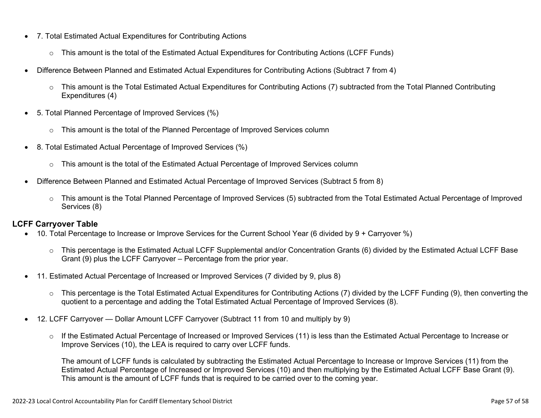- 7. Total Estimated Actual Expenditures for Contributing Actions
	- o This amount is the total of the Estimated Actual Expenditures for Contributing Actions (LCFF Funds)
- Difference Between Planned and Estimated Actual Expenditures for Contributing Actions (Subtract 7 from 4)
	- $\circ$  This amount is the Total Estimated Actual Expenditures for Contributing Actions (7) subtracted from the Total Planned Contributing Expenditures (4)
- 5. Total Planned Percentage of Improved Services (%)
	- o This amount is the total of the Planned Percentage of Improved Services column
- 8. Total Estimated Actual Percentage of Improved Services (%)
	- o This amount is the total of the Estimated Actual Percentage of Improved Services column
- Difference Between Planned and Estimated Actual Percentage of Improved Services (Subtract 5 from 8)
	- o This amount is the Total Planned Percentage of Improved Services (5) subtracted from the Total Estimated Actual Percentage of Improved Services (8)

### **LCFF Carryover Table**

- 10. Total Percentage to Increase or Improve Services for the Current School Year (6 divided by 9 + Carryover %)
	- $\circ$  This percentage is the Estimated Actual LCFF Supplemental and/or Concentration Grants (6) divided by the Estimated Actual LCFF Base Grant (9) plus the LCFF Carryover – Percentage from the prior year.
- 11. Estimated Actual Percentage of Increased or Improved Services (7 divided by 9, plus 8)
	- o This percentage is the Total Estimated Actual Expenditures for Contributing Actions (7) divided by the LCFF Funding (9), then converting the quotient to a percentage and adding the Total Estimated Actual Percentage of Improved Services (8).
- 12. LCFF Carryover Dollar Amount LCFF Carryover (Subtract 11 from 10 and multiply by 9)
	- $\circ$  If the Estimated Actual Percentage of Increased or Improved Services (11) is less than the Estimated Actual Percentage to Increase or Improve Services (10), the LEA is required to carry over LCFF funds.

The amount of LCFF funds is calculated by subtracting the Estimated Actual Percentage to Increase or Improve Services (11) from the Estimated Actual Percentage of Increased or Improved Services (10) and then multiplying by the Estimated Actual LCFF Base Grant (9). This amount is the amount of LCFF funds that is required to be carried over to the coming year.